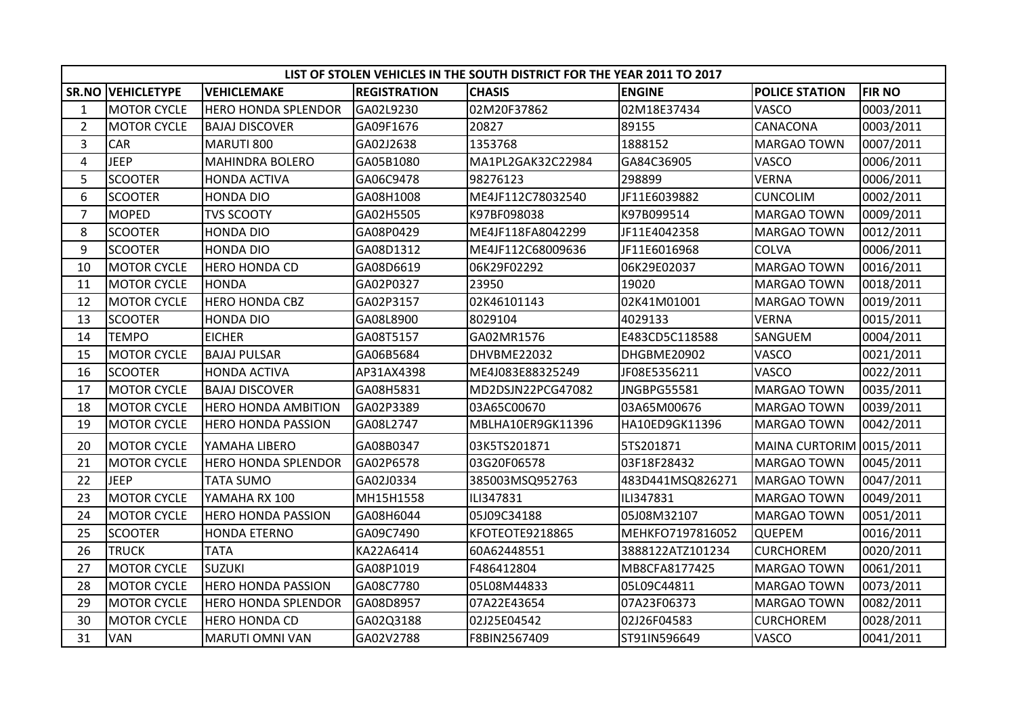|                | LIST OF STOLEN VEHICLES IN THE SOUTH DISTRICT FOR THE YEAR 2011 TO 2017 |                            |                     |                   |                    |                          |               |  |  |  |  |
|----------------|-------------------------------------------------------------------------|----------------------------|---------------------|-------------------|--------------------|--------------------------|---------------|--|--|--|--|
|                | <b>SR.NO VEHICLETYPE</b>                                                | <b>VEHICLEMAKE</b>         | <b>REGISTRATION</b> | <b>CHASIS</b>     | <b>ENGINE</b>      | <b>POLICE STATION</b>    | <b>FIR NO</b> |  |  |  |  |
| $\mathbf{1}$   | <b>MOTOR CYCLE</b>                                                      | <b>HERO HONDA SPLENDOR</b> | GA02L9230           | 02M20F37862       | 02M18E37434        | VASCO                    | 0003/2011     |  |  |  |  |
| $2^{\circ}$    | <b>MOTOR CYCLE</b>                                                      | <b>BAJAJ DISCOVER</b>      | GA09F1676           | 20827             | 89155              | CANACONA                 | 0003/2011     |  |  |  |  |
| 3              | CAR                                                                     | MARUTI 800                 | GA02J2638           | 1353768           | 1888152            | <b>MARGAO TOWN</b>       | 0007/2011     |  |  |  |  |
| 4              | <b>JEEP</b>                                                             | <b>MAHINDRA BOLERO</b>     | GA05B1080           | MA1PL2GAK32C22984 | GA84C36905         | VASCO                    | 0006/2011     |  |  |  |  |
| 5              | <b>SCOOTER</b>                                                          | <b>HONDA ACTIVA</b>        | GA06C9478           | 98276123          | 298899             | <b>VERNA</b>             | 0006/2011     |  |  |  |  |
| 6              | <b>SCOOTER</b>                                                          | <b>HONDA DIO</b>           | GA08H1008           | ME4JF112C78032540 | JF11E6039882       | <b>CUNCOLIM</b>          | 0002/2011     |  |  |  |  |
| $\overline{7}$ | <b>MOPED</b>                                                            | <b>TVS SCOOTY</b>          | GA02H5505           | K97BF098038       | K97B099514         | <b>MARGAO TOWN</b>       | 0009/2011     |  |  |  |  |
| 8              | <b>SCOOTER</b>                                                          | <b>HONDA DIO</b>           | GA08P0429           | ME4JF118FA8042299 | JF11E4042358       | <b>MARGAO TOWN</b>       | 0012/2011     |  |  |  |  |
| 9              | <b>SCOOTER</b>                                                          | <b>HONDA DIO</b>           | GA08D1312           | ME4JF112C68009636 | JF11E6016968       | <b>COLVA</b>             | 0006/2011     |  |  |  |  |
| 10             | <b>MOTOR CYCLE</b>                                                      | <b>HERO HONDA CD</b>       | GA08D6619           | 06K29F02292       | 06K29E02037        | <b>MARGAO TOWN</b>       | 0016/2011     |  |  |  |  |
| 11             | <b>MOTOR CYCLE</b>                                                      | <b>HONDA</b>               | GA02P0327           | 23950             | 19020              | <b>MARGAO TOWN</b>       | 0018/2011     |  |  |  |  |
| 12             | <b>MOTOR CYCLE</b>                                                      | <b>HERO HONDA CBZ</b>      | GA02P3157           | 02K46101143       | 02K41M01001        | <b>MARGAO TOWN</b>       | 0019/2011     |  |  |  |  |
| 13             | <b>SCOOTER</b>                                                          | <b>HONDA DIO</b>           | GA08L8900           | 8029104           | 4029133            | <b>VERNA</b>             | 0015/2011     |  |  |  |  |
| 14             | <b>TEMPO</b>                                                            | <b>EICHER</b>              | GA08T5157           | GA02MR1576        | E483CD5C118588     | SANGUEM                  | 0004/2011     |  |  |  |  |
| 15             | <b>MOTOR CYCLE</b>                                                      | <b>BAJAJ PULSAR</b>        | GA06B5684           | DHVBME22032       | DHGBME20902        | VASCO                    | 0021/2011     |  |  |  |  |
| 16             | <b>SCOOTER</b>                                                          | <b>HONDA ACTIVA</b>        | AP31AX4398          | ME4J083E88325249  | JF08E5356211       | VASCO                    | 0022/2011     |  |  |  |  |
| 17             | <b>MOTOR CYCLE</b>                                                      | <b>BAJAJ DISCOVER</b>      | GA08H5831           | MD2DSJN22PCG47082 | <b>JNGBPG55581</b> | <b>MARGAO TOWN</b>       | 0035/2011     |  |  |  |  |
| 18             | <b>MOTOR CYCLE</b>                                                      | <b>HERO HONDA AMBITION</b> | GA02P3389           | 03A65C00670       | 03A65M00676        | <b>MARGAO TOWN</b>       | 0039/2011     |  |  |  |  |
| 19             | <b>MOTOR CYCLE</b>                                                      | <b>HERO HONDA PASSION</b>  | GA08L2747           | MBLHA10ER9GK11396 | HA10ED9GK11396     | <b>MARGAO TOWN</b>       | 0042/2011     |  |  |  |  |
| 20             | <b>MOTOR CYCLE</b>                                                      | YAMAHA LIBERO              | GA08B0347           | 03K5TS201871      | 5TS201871          | MAINA CURTORIM 0015/2011 |               |  |  |  |  |
| 21             | <b>MOTOR CYCLE</b>                                                      | <b>HERO HONDA SPLENDOR</b> | GA02P6578           | 03G20F06578       | 03F18F28432        | <b>MARGAO TOWN</b>       | 0045/2011     |  |  |  |  |
| 22             | <b>JEEP</b>                                                             | <b>TATA SUMO</b>           | GA02J0334           | 385003MSQ952763   | 483D441MSQ826271   | <b>MARGAO TOWN</b>       | 0047/2011     |  |  |  |  |
| 23             | <b>MOTOR CYCLE</b>                                                      | YAMAHA RX 100              | MH15H1558           | ILI347831         | ILI347831          | <b>MARGAO TOWN</b>       | 0049/2011     |  |  |  |  |
| 24             | <b>MOTOR CYCLE</b>                                                      | <b>HERO HONDA PASSION</b>  | GA08H6044           | 05J09C34188       | 05J08M32107        | <b>MARGAO TOWN</b>       | 0051/2011     |  |  |  |  |
| 25             | <b>SCOOTER</b>                                                          | <b>HONDA ETERNO</b>        | GA09C7490           | KFOTEOTE9218865   | MEHKFO7197816052   | QUEPEM                   | 0016/2011     |  |  |  |  |
| 26             | <b>TRUCK</b>                                                            | <b>TATA</b>                | KA22A6414           | 60A62448551       | 3888122ATZ101234   | <b>CURCHOREM</b>         | 0020/2011     |  |  |  |  |
| 27             | <b>MOTOR CYCLE</b>                                                      | <b>SUZUKI</b>              | GA08P1019           | F486412804        | MB8CFA8177425      | <b>MARGAO TOWN</b>       | 0061/2011     |  |  |  |  |
| 28             | <b>MOTOR CYCLE</b>                                                      | <b>HERO HONDA PASSION</b>  | GA08C7780           | 05L08M44833       | 05L09C44811        | <b>MARGAO TOWN</b>       | 0073/2011     |  |  |  |  |
| 29             | <b>MOTOR CYCLE</b>                                                      | <b>HERO HONDA SPLENDOR</b> | GA08D8957           | 07A22E43654       | 07A23F06373        | <b>MARGAO TOWN</b>       | 0082/2011     |  |  |  |  |
| 30             | <b>MOTOR CYCLE</b>                                                      | <b>HERO HONDA CD</b>       | GA02Q3188           | 02J25E04542       | 02J26F04583        | <b>CURCHOREM</b>         | 0028/2011     |  |  |  |  |
| 31             | <b>VAN</b>                                                              | MARUTI OMNI VAN            | GA02V2788           | F8BIN2567409      | ST91IN596649       | VASCO                    | 0041/2011     |  |  |  |  |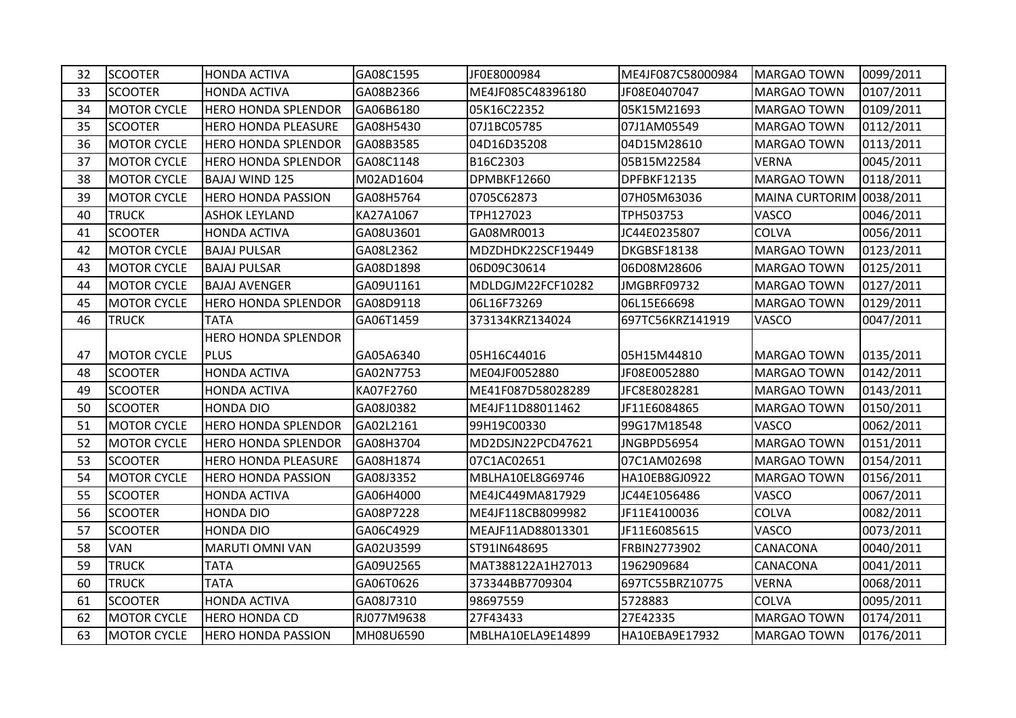| 32 | <b>SCOOTER</b>     | <b>HONDA ACTIVA</b>        | GA08C1595  | JF0E8000984       | ME4JF087C58000984  | MARGAO TOWN              | 0099/2011 |
|----|--------------------|----------------------------|------------|-------------------|--------------------|--------------------------|-----------|
| 33 | <b>SCOOTER</b>     | <b>HONDA ACTIVA</b>        | GA08B2366  | ME4JF085C48396180 | JF08E0407047       | <b>MARGAO TOWN</b>       | 0107/2011 |
| 34 | <b>MOTOR CYCLE</b> | <b>HERO HONDA SPLENDOR</b> | GA06B6180  | 05K16C22352       | 05K15M21693        | <b>MARGAO TOWN</b>       | 0109/2011 |
| 35 | <b>SCOOTER</b>     | <b>HERO HONDA PLEASURE</b> | GA08H5430  | 07J1BC05785       | 07J1AM05549        | <b>MARGAO TOWN</b>       | 0112/2011 |
| 36 | <b>MOTOR CYCLE</b> | <b>HERO HONDA SPLENDOR</b> | GA08B3585  | 04D16D35208       | 04D15M28610        | <b>MARGAO TOWN</b>       | 0113/2011 |
| 37 | <b>MOTOR CYCLE</b> | <b>HERO HONDA SPLENDOR</b> | GA08C1148  | B16C2303          | 05B15M22584        | <b>VERNA</b>             | 0045/2011 |
| 38 | <b>MOTOR CYCLE</b> | BAJAJ WIND 125             | M02AD1604  | DPMBKF12660       | DPFBKF12135        | <b>MARGAO TOWN</b>       | 0118/2011 |
| 39 | <b>MOTOR CYCLE</b> | <b>HERO HONDA PASSION</b>  | GA08H5764  | 0705C62873        | 07H05M63036        | MAINA CURTORIM 0038/2011 |           |
| 40 | <b>TRUCK</b>       | <b>ASHOK LEYLAND</b>       | KA27A1067  | TPH127023         | TPH503753          | VASCO                    | 0046/2011 |
| 41 | <b>SCOOTER</b>     | <b>HONDA ACTIVA</b>        | GA08U3601  | GA08MR0013        | JC44E0235807       | <b>COLVA</b>             | 0056/2011 |
| 42 | <b>MOTOR CYCLE</b> | <b>BAJAJ PULSAR</b>        | GA08L2362  | MDZDHDK22SCF19449 | DKGBSF18138        | <b>MARGAO TOWN</b>       | 0123/2011 |
| 43 | <b>MOTOR CYCLE</b> | <b>BAJAJ PULSAR</b>        | GA08D1898  | 06D09C30614       | 06D08M28606        | <b>MARGAO TOWN</b>       | 0125/2011 |
| 44 | <b>MOTOR CYCLE</b> | <b>BAJAJ AVENGER</b>       | GA09U1161  | MDLDGJM22FCF10282 | JMGBRF09732        | <b>MARGAO TOWN</b>       | 0127/2011 |
| 45 | <b>MOTOR CYCLE</b> | <b>HERO HONDA SPLENDOR</b> | GA08D9118  | 06L16F73269       | 06L15E66698        | <b>MARGAO TOWN</b>       | 0129/2011 |
| 46 | <b>TRUCK</b>       | <b>TATA</b>                | GA06T1459  | 373134KRZ134024   | 697TC56KRZ141919   | VASCO                    | 0047/2011 |
|    |                    | <b>HERO HONDA SPLENDOR</b> |            |                   |                    |                          |           |
| 47 | <b>MOTOR CYCLE</b> | PLUS                       | GA05A6340  | 05H16C44016       | 05H15M44810        | <b>MARGAO TOWN</b>       | 0135/2011 |
| 48 | <b>SCOOTER</b>     | <b>HONDA ACTIVA</b>        | GA02N7753  | ME04JF0052880     | JF08E0052880       | <b>MARGAO TOWN</b>       | 0142/2011 |
| 49 | <b>SCOOTER</b>     | <b>HONDA ACTIVA</b>        | KA07F2760  | ME41F087D58028289 | JFC8E8028281       | MARGAO TOWN              | 0143/2011 |
| 50 | <b>SCOOTER</b>     | <b>HONDA DIO</b>           | GA08J0382  | ME4JF11D88011462  | JF11E6084865       | <b>MARGAO TOWN</b>       | 0150/2011 |
| 51 | <b>MOTOR CYCLE</b> | <b>HERO HONDA SPLENDOR</b> | GA02L2161  | 99H19C00330       | 99G17M18548        | VASCO                    | 0062/2011 |
| 52 | <b>MOTOR CYCLE</b> | <b>HERO HONDA SPLENDOR</b> | GA08H3704  | MD2DSJN22PCD47621 | <b>JNGBPD56954</b> | <b>MARGAO TOWN</b>       | 0151/2011 |
| 53 | <b>SCOOTER</b>     | <b>HERO HONDA PLEASURE</b> | GA08H1874  | 07C1AC02651       | 07C1AM02698        | <b>MARGAO TOWN</b>       | 0154/2011 |
| 54 | <b>MOTOR CYCLE</b> | <b>HERO HONDA PASSION</b>  | GA08J3352  | MBLHA10EL8G69746  | HA10EB8GJ0922      | <b>MARGAO TOWN</b>       | 0156/2011 |
| 55 | <b>SCOOTER</b>     | <b>HONDA ACTIVA</b>        | GA06H4000  | ME4JC449MA817929  | JC44E1056486       | VASCO                    | 0067/2011 |
| 56 | <b>SCOOTER</b>     | <b>HONDA DIO</b>           | GA08P7228  | ME4JF118CB8099982 | JF11E4100036       | COLVA                    | 0082/2011 |
| 57 | <b>SCOOTER</b>     | <b>HONDA DIO</b>           | GA06C4929  | MEAJF11AD88013301 | JF11E6085615       | VASCO                    | 0073/2011 |
| 58 | <b>VAN</b>         | <b>MARUTI OMNI VAN</b>     | GA02U3599  | ST91IN648695      | FRBIN2773902       | CANACONA                 | 0040/2011 |
| 59 | <b>TRUCK</b>       | <b>TATA</b>                | GA09U2565  | MAT388122A1H27013 | 1962909684         | CANACONA                 | 0041/2011 |
| 60 | <b>TRUCK</b>       | <b>TATA</b>                | GA06T0626  | 373344BB7709304   | 697TC55BRZ10775    | <b>VERNA</b>             | 0068/2011 |
| 61 | <b>SCOOTER</b>     | <b>HONDA ACTIVA</b>        | GA08J7310  | 98697559          | 5728883            | COLVA                    | 0095/2011 |
| 62 | <b>MOTOR CYCLE</b> | <b>HERO HONDA CD</b>       | RJ077M9638 | 27F43433          | 27E42335           | <b>MARGAO TOWN</b>       | 0174/2011 |
| 63 | <b>MOTOR CYCLE</b> | <b>HERO HONDA PASSION</b>  | MH08U6590  | MBLHA10ELA9E14899 | HA10EBA9E17932     | MARGAO TOWN              | 0176/2011 |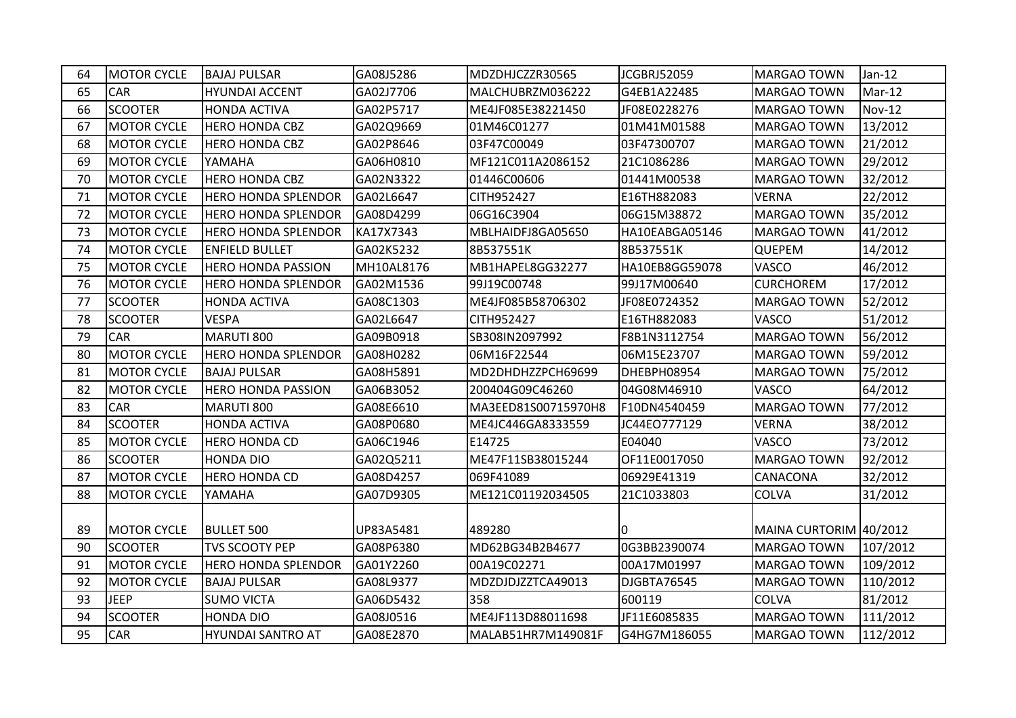| 64 | <b>MOTOR CYCLE</b> | <b>BAJAJ PULSAR</b>        | GA08J5286  | MDZDHJCZZR30565     | <b>JCGBRJ52059</b> | <b>MARGAO TOWN</b>     | Jan-12        |
|----|--------------------|----------------------------|------------|---------------------|--------------------|------------------------|---------------|
| 65 | CAR                | <b>HYUNDAI ACCENT</b>      | GA02J7706  | MALCHUBRZM036222    | G4EB1A22485        | <b>MARGAO TOWN</b>     | $Mar-12$      |
| 66 | <b>SCOOTER</b>     | <b>HONDA ACTIVA</b>        | GA02P5717  | ME4JF085E38221450   | JF08E0228276       | <b>MARGAO TOWN</b>     | <b>Nov-12</b> |
| 67 | <b>MOTOR CYCLE</b> | <b>HERO HONDA CBZ</b>      | GA02Q9669  | 01M46C01277         | 01M41M01588        | <b>MARGAO TOWN</b>     | 13/2012       |
| 68 | <b>MOTOR CYCLE</b> | <b>HERO HONDA CBZ</b>      | GA02P8646  | 03F47C00049         | 03F47300707        | <b>MARGAO TOWN</b>     | 21/2012       |
| 69 | <b>MOTOR CYCLE</b> | YAMAHA                     | GA06H0810  | MF121C011A2086152   | 21C1086286         | MARGAO TOWN            | 29/2012       |
| 70 | <b>MOTOR CYCLE</b> | <b>HERO HONDA CBZ</b>      | GA02N3322  | 01446C00606         | 01441M00538        | <b>MARGAO TOWN</b>     | 32/2012       |
| 71 | <b>MOTOR CYCLE</b> | <b>HERO HONDA SPLENDOR</b> | GA02L6647  | CITH952427          | E16TH882083        | <b>VERNA</b>           | 22/2012       |
| 72 | <b>MOTOR CYCLE</b> | <b>HERO HONDA SPLENDOR</b> | GA08D4299  | 06G16C3904          | 06G15M38872        | <b>MARGAO TOWN</b>     | 35/2012       |
| 73 | <b>MOTOR CYCLE</b> | <b>HERO HONDA SPLENDOR</b> | KA17X7343  | MBLHAIDFJ8GA05650   | HA10EABGA05146     | <b>MARGAO TOWN</b>     | 41/2012       |
| 74 | <b>MOTOR CYCLE</b> | <b>ENFIELD BULLET</b>      | GA02K5232  | 8B537551K           | 8B537551K          | <b>QUEPEM</b>          | 14/2012       |
| 75 | <b>MOTOR CYCLE</b> | <b>HERO HONDA PASSION</b>  | MH10AL8176 | MB1HAPEL8GG32277    | HA10EB8GG59078     | <b>VASCO</b>           | 46/2012       |
| 76 | <b>MOTOR CYCLE</b> | <b>HERO HONDA SPLENDOR</b> | GA02M1536  | 99J19C00748         | 99J17M00640        | <b>CURCHOREM</b>       | 17/2012       |
| 77 | <b>SCOOTER</b>     | <b>HONDA ACTIVA</b>        | GA08C1303  | ME4JF085B58706302   | JF08E0724352       | MARGAO TOWN            | 52/2012       |
| 78 | <b>SCOOTER</b>     | <b>VESPA</b>               | GA02L6647  | CITH952427          | E16TH882083        | <b>VASCO</b>           | 51/2012       |
| 79 | <b>CAR</b>         | MARUTI 800                 | GA09B0918  | SB308IN2097992      | F8B1N3112754       | <b>MARGAO TOWN</b>     | 56/2012       |
| 80 | <b>MOTOR CYCLE</b> | <b>HERO HONDA SPLENDOR</b> | GA08H0282  | 06M16F22544         | 06M15E23707        | <b>MARGAO TOWN</b>     | 59/2012       |
| 81 | <b>MOTOR CYCLE</b> | <b>BAJAJ PULSAR</b>        | GA08H5891  | MD2DHDHZZPCH69699   | DHEBPH08954        | <b>MARGAO TOWN</b>     | 75/2012       |
| 82 | <b>MOTOR CYCLE</b> | <b>HERO HONDA PASSION</b>  | GA06B3052  | 200404G09C46260     | 04G08M46910        | <b>VASCO</b>           | 64/2012       |
| 83 | CAR                | MARUTI 800                 | GA08E6610  | MA3EED81S00715970H8 | F10DN4540459       | <b>MARGAO TOWN</b>     | 77/2012       |
| 84 | <b>SCOOTER</b>     | <b>HONDA ACTIVA</b>        | GA08P0680  | ME4JC446GA8333559   | JC44EO777129       | <b>VERNA</b>           | 38/2012       |
| 85 | <b>MOTOR CYCLE</b> | <b>HERO HONDA CD</b>       | GA06C1946  | E14725              | E04040             | VASCO                  | 73/2012       |
| 86 | <b>SCOOTER</b>     | <b>HONDA DIO</b>           | GA02Q5211  | ME47F11SB38015244   | OF11E0017050       | <b>MARGAO TOWN</b>     | 92/2012       |
| 87 | <b>MOTOR CYCLE</b> | <b>HERO HONDA CD</b>       | GA08D4257  | 069F41089           | 06929E41319        | CANACONA               | 32/2012       |
| 88 | <b>MOTOR CYCLE</b> | YAMAHA                     | GA07D9305  | ME121C01192034505   | 21C1033803         | <b>COLVA</b>           | 31/2012       |
|    |                    |                            |            |                     |                    |                        |               |
| 89 | <b>MOTOR CYCLE</b> | <b>BULLET 500</b>          | UP83A5481  | 489280              | IО                 | MAINA CURTORIM 40/2012 |               |
| 90 | <b>SCOOTER</b>     | <b>TVS SCOOTY PEP</b>      | GA08P6380  | MD62BG34B2B4677     | 0G3BB2390074       | <b>MARGAO TOWN</b>     | 107/2012      |
| 91 | <b>MOTOR CYCLE</b> | <b>HERO HONDA SPLENDOR</b> | GA01Y2260  | 00A19C02271         | 00A17M01997        | MARGAO TOWN            | 109/2012      |
| 92 | <b>MOTOR CYCLE</b> | <b>BAJAJ PULSAR</b>        | GA08L9377  | MDZDJDJZZTCA49013   | DJGBTA76545        | <b>MARGAO TOWN</b>     | 110/2012      |
| 93 | <b>JEEP</b>        | <b>SUMO VICTA</b>          | GA06D5432  | 358                 | 600119             | <b>COLVA</b>           | 81/2012       |
| 94 | <b>SCOOTER</b>     | HONDA DIO                  | GA08J0516  | ME4JF113D88011698   | JF11E6085835       | <b>MARGAO TOWN</b>     | 111/2012      |
| 95 | <b>CAR</b>         | <b>HYUNDAI SANTRO AT</b>   | GA08E2870  | MALAB51HR7M149081F  | G4HG7M186055       | <b>MARGAO TOWN</b>     | 112/2012      |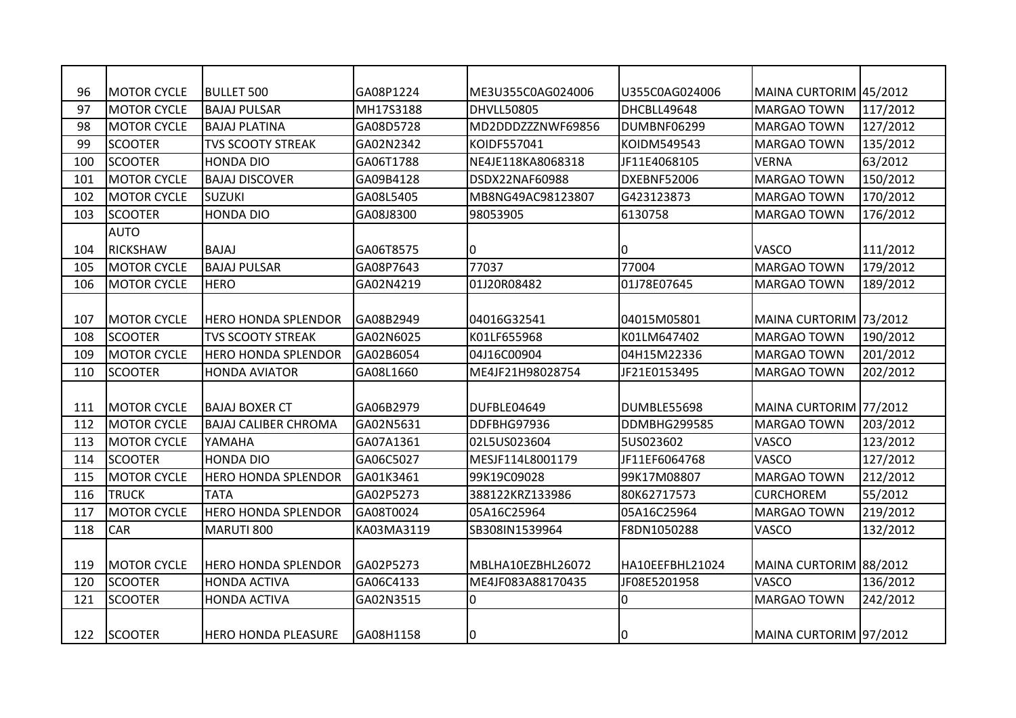| 96  | <b>MOTOR CYCLE</b> | <b>BULLET 500</b>           | GA08P1224  | ME3U355C0AG024006 | U355C0AG024006  | MAINA CURTORIM 45/2012 |          |
|-----|--------------------|-----------------------------|------------|-------------------|-----------------|------------------------|----------|
| 97  | <b>MOTOR CYCLE</b> | <b>BAJAJ PULSAR</b>         | MH17S3188  | DHVLL50805        | DHCBLL49648     | <b>MARGAO TOWN</b>     | 117/2012 |
| 98  | <b>MOTOR CYCLE</b> | <b>BAJAJ PLATINA</b>        | GA08D5728  | MD2DDDZZZNWF69856 | DUMBNF06299     | <b>MARGAO TOWN</b>     | 127/2012 |
| 99  | <b>SCOOTER</b>     | <b>TVS SCOOTY STREAK</b>    | GA02N2342  | KOIDF557041       | KOIDM549543     | <b>MARGAO TOWN</b>     | 135/2012 |
| 100 | <b>SCOOTER</b>     | <b>HONDA DIO</b>            | GA06T1788  | NE4JE118KA8068318 | JF11E4068105    | <b>VERNA</b>           | 63/2012  |
| 101 | <b>MOTOR CYCLE</b> | <b>BAJAJ DISCOVER</b>       | GA09B4128  | DSDX22NAF60988    | DXEBNF52006     | <b>MARGAO TOWN</b>     | 150/2012 |
| 102 | <b>MOTOR CYCLE</b> | <b>SUZUKI</b>               | GA08L5405  | MB8NG49AC98123807 | G423123873      | <b>MARGAO TOWN</b>     | 170/2012 |
| 103 | <b>SCOOTER</b>     | <b>HONDA DIO</b>            | GA08J8300  | 98053905          | 6130758         | <b>MARGAO TOWN</b>     | 176/2012 |
|     | <b>AUTO</b>        |                             |            |                   |                 |                        |          |
| 104 | <b>RICKSHAW</b>    | <b>BAJAJ</b>                | GA06T8575  | 0                 | 0               | VASCO                  | 111/2012 |
| 105 | <b>MOTOR CYCLE</b> | <b>BAJAJ PULSAR</b>         | GA08P7643  | 77037             | 77004           | <b>MARGAO TOWN</b>     | 179/2012 |
| 106 | <b>MOTOR CYCLE</b> | <b>HERO</b>                 | GA02N4219  | 01J20R08482       | 01J78E07645     | <b>MARGAO TOWN</b>     | 189/2012 |
|     |                    |                             |            |                   |                 |                        |          |
| 107 | <b>MOTOR CYCLE</b> | <b>HERO HONDA SPLENDOR</b>  | GA08B2949  | 04016G32541       | 04015M05801     | MAINA CURTORIM 73/2012 |          |
| 108 | <b>SCOOTER</b>     | <b>TVS SCOOTY STREAK</b>    | GA02N6025  | K01LF655968       | K01LM647402     | <b>MARGAO TOWN</b>     | 190/2012 |
| 109 | <b>MOTOR CYCLE</b> | <b>HERO HONDA SPLENDOR</b>  | GA02B6054  | 04J16C00904       | 04H15M22336     | <b>MARGAO TOWN</b>     | 201/2012 |
| 110 | <b>SCOOTER</b>     | <b>HONDA AVIATOR</b>        | GA08L1660  | ME4JF21H98028754  | JF21E0153495    | <b>MARGAO TOWN</b>     | 202/2012 |
|     |                    |                             |            |                   |                 |                        |          |
| 111 | <b>MOTOR CYCLE</b> | <b>BAJAJ BOXER CT</b>       | GA06B2979  | DUFBLE04649       | DUMBLE55698     | MAINA CURTORIM 77/2012 |          |
| 112 | <b>MOTOR CYCLE</b> | <b>BAJAJ CALIBER CHROMA</b> | GA02N5631  | DDFBHG97936       | DDMBHG299585    | <b>MARGAO TOWN</b>     | 203/2012 |
| 113 | <b>MOTOR CYCLE</b> | YAMAHA                      | GA07A1361  | 02L5US023604      | 5US023602       | VASCO                  | 123/2012 |
| 114 | <b>SCOOTER</b>     | <b>HONDA DIO</b>            | GA06C5027  | MESJF114L8001179  | JF11EF6064768   | VASCO                  | 127/2012 |
| 115 | <b>MOTOR CYCLE</b> | <b>HERO HONDA SPLENDOR</b>  | GA01K3461  | 99K19C09028       | 99K17M08807     | <b>MARGAO TOWN</b>     | 212/2012 |
| 116 | <b>TRUCK</b>       | <b>TATA</b>                 | GA02P5273  | 388122KRZ133986   | 80K62717573     | <b>CURCHOREM</b>       | 55/2012  |
| 117 | <b>MOTOR CYCLE</b> | <b>HERO HONDA SPLENDOR</b>  | GA08T0024  | 05A16C25964       | 05A16C25964     | <b>MARGAO TOWN</b>     | 219/2012 |
| 118 | CAR                | <b>MARUTI 800</b>           | KA03MA3119 | SB308IN1539964    | F8DN1050288     | VASCO                  | 132/2012 |
|     |                    |                             |            |                   |                 |                        |          |
| 119 | <b>MOTOR CYCLE</b> | <b>HERO HONDA SPLENDOR</b>  | GA02P5273  | MBLHA10EZBHL26072 | HA10EEFBHL21024 | MAINA CURTORIM 88/2012 |          |
| 120 | <b>SCOOTER</b>     | <b>HONDA ACTIVA</b>         | GA06C4133  | ME4JF083A88170435 | JF08E5201958    | VASCO                  | 136/2012 |
| 121 | <b>SCOOTER</b>     | <b>HONDA ACTIVA</b>         | GA02N3515  | 0                 | 0               | <b>MARGAO TOWN</b>     | 242/2012 |
|     |                    |                             |            |                   |                 |                        |          |
| 122 | <b>SCOOTER</b>     | <b>HERO HONDA PLEASURE</b>  | GA08H1158  | 10                | 0               | MAINA CURTORIM 97/2012 |          |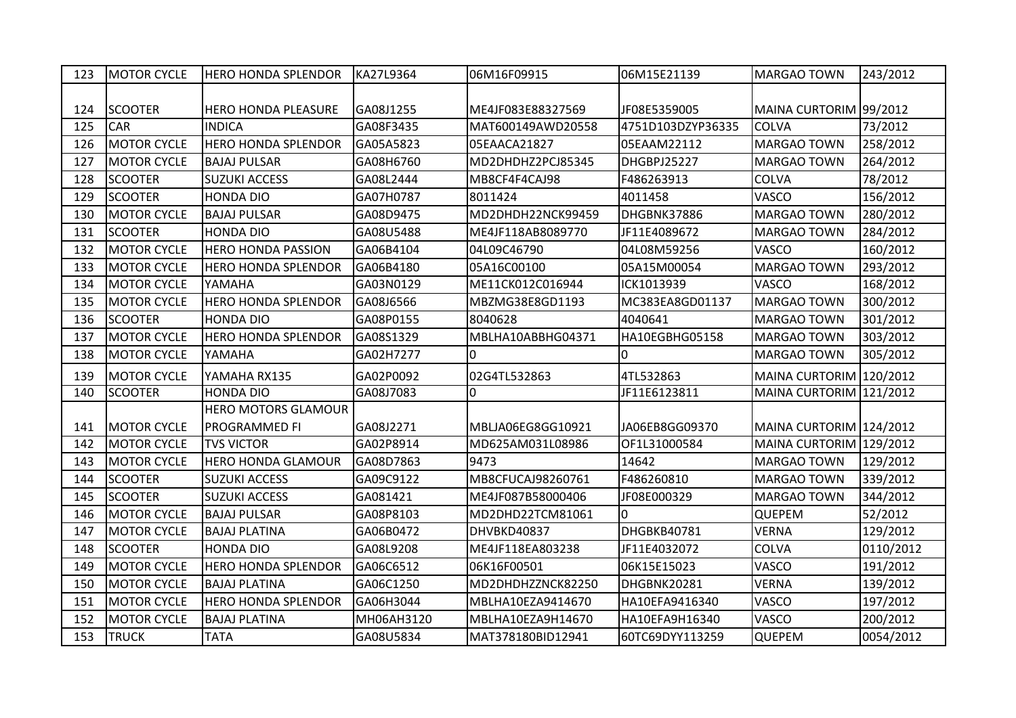| 123 | <b>MOTOR CYCLE</b> | <b>HERO HONDA SPLENDOR</b> | KA27L9364  | 06M16F09915       | 06M15E21139       | <b>MARGAO TOWN</b>      | 243/2012  |
|-----|--------------------|----------------------------|------------|-------------------|-------------------|-------------------------|-----------|
|     |                    |                            |            |                   |                   |                         |           |
| 124 | <b>SCOOTER</b>     | <b>HERO HONDA PLEASURE</b> | GA08J1255  | ME4JF083E88327569 | JF08E5359005      | MAINA CURTORIM 99/2012  |           |
| 125 | <b>CAR</b>         | <b>INDICA</b>              | GA08F3435  | MAT600149AWD20558 | 4751D103DZYP36335 | <b>COLVA</b>            | 73/2012   |
| 126 | <b>MOTOR CYCLE</b> | <b>HERO HONDA SPLENDOR</b> | GA05A5823  | 05EAACA21827      | 05EAAM22112       | <b>MARGAO TOWN</b>      | 258/2012  |
| 127 | <b>MOTOR CYCLE</b> | <b>BAJAJ PULSAR</b>        | GA08H6760  | MD2DHDHZ2PCJ85345 | DHGBPJ25227       | <b>MARGAO TOWN</b>      | 264/2012  |
| 128 | <b>SCOOTER</b>     | <b>SUZUKI ACCESS</b>       | GA08L2444  | MB8CF4F4CAJ98     | F486263913        | <b>COLVA</b>            | 78/2012   |
| 129 | <b>SCOOTER</b>     | <b>HONDA DIO</b>           | GA07H0787  | 8011424           | 4011458           | VASCO                   | 156/2012  |
| 130 | <b>MOTOR CYCLE</b> | <b>BAJAJ PULSAR</b>        | GA08D9475  | MD2DHDH22NCK99459 | DHGBNK37886       | <b>MARGAO TOWN</b>      | 280/2012  |
| 131 | <b>SCOOTER</b>     | <b>HONDA DIO</b>           | GA08U5488  | ME4JF118AB8089770 | JF11E4089672      | <b>MARGAO TOWN</b>      | 284/2012  |
| 132 | <b>MOTOR CYCLE</b> | <b>HERO HONDA PASSION</b>  | GA06B4104  | 04L09C46790       | 04L08M59256       | VASCO                   | 160/2012  |
| 133 | <b>MOTOR CYCLE</b> | <b>HERO HONDA SPLENDOR</b> | GA06B4180  | 05A16C00100       | 05A15M00054       | <b>MARGAO TOWN</b>      | 293/2012  |
| 134 | <b>MOTOR CYCLE</b> | YAMAHA                     | GA03N0129  | ME11CK012C016944  | ICK1013939        | VASCO                   | 168/2012  |
| 135 | <b>MOTOR CYCLE</b> | <b>HERO HONDA SPLENDOR</b> | GA08J6566  | MBZMG38E8GD1193   | MC383EA8GD01137   | <b>MARGAO TOWN</b>      | 300/2012  |
| 136 | <b>SCOOTER</b>     | <b>HONDA DIO</b>           | GA08P0155  | 8040628           | 4040641           | <b>MARGAO TOWN</b>      | 301/2012  |
| 137 | <b>MOTOR CYCLE</b> | <b>HERO HONDA SPLENDOR</b> | GA08S1329  | MBLHA10ABBHG04371 | HA10EGBHG05158    | <b>MARGAO TOWN</b>      | 303/2012  |
| 138 | <b>MOTOR CYCLE</b> | YAMAHA                     | GA02H7277  |                   | l0                | <b>MARGAO TOWN</b>      | 305/2012  |
| 139 | <b>MOTOR CYCLE</b> | YAMAHA RX135               | GA02P0092  | 02G4TL532863      | 4TL532863         | MAINA CURTORIM 120/2012 |           |
| 140 | <b>SCOOTER</b>     | <b>HONDA DIO</b>           | GA08J7083  | 0                 | JF11E6123811      | MAINA CURTORIM 121/2012 |           |
|     |                    | <b>HERO MOTORS GLAMOUR</b> |            |                   |                   |                         |           |
| 141 | <b>MOTOR CYCLE</b> | PROGRAMMED FI              | GA08J2271  | MBLJA06EG8GG10921 | JA06EB8GG09370    | MAINA CURTORIM 124/2012 |           |
| 142 | <b>MOTOR CYCLE</b> | <b>TVS VICTOR</b>          | GA02P8914  | MD625AM031L08986  | OF1L31000584      | MAINA CURTORIM 129/2012 |           |
| 143 | <b>MOTOR CYCLE</b> | <b>HERO HONDA GLAMOUR</b>  | GA08D7863  | 9473              | 14642             | MARGAO TOWN             | 129/2012  |
| 144 | <b>SCOOTER</b>     | <b>SUZUKI ACCESS</b>       | GA09C9122  | MB8CFUCAJ98260761 | F486260810        | <b>MARGAO TOWN</b>      | 339/2012  |
| 145 | <b>SCOOTER</b>     | <b>SUZUKI ACCESS</b>       | GA081421   | ME4JF087B58000406 | JF08E000329       | <b>MARGAO TOWN</b>      | 344/2012  |
| 146 | <b>MOTOR CYCLE</b> | <b>BAJAJ PULSAR</b>        | GA08P8103  | MD2DHD22TCM81061  | l0                | <b>QUEPEM</b>           | 52/2012   |
| 147 | <b>MOTOR CYCLE</b> | <b>BAJAJ PLATINA</b>       | GA06B0472  | DHVBKD40837       | DHGBKB40781       | <b>VERNA</b>            | 129/2012  |
| 148 | <b>SCOOTER</b>     | HONDA DIO                  | GA08L9208  | ME4JF118EA803238  | JF11E4032072      | <b>COLVA</b>            | 0110/2012 |
| 149 | <b>MOTOR CYCLE</b> | <b>HERO HONDA SPLENDOR</b> | GA06C6512  | 06K16F00501       | 06K15E15023       | VASCO                   | 191/2012  |
| 150 | <b>MOTOR CYCLE</b> | <b>BAJAJ PLATINA</b>       | GA06C1250  | MD2DHDHZZNCK82250 | DHGBNK20281       | <b>VERNA</b>            | 139/2012  |
| 151 | <b>MOTOR CYCLE</b> | <b>HERO HONDA SPLENDOR</b> | GA06H3044  | MBLHA10EZA9414670 | HA10EFA9416340    | VASCO                   | 197/2012  |
| 152 | <b>MOTOR CYCLE</b> | <b>BAJAJ PLATINA</b>       | MH06AH3120 | MBLHA10EZA9H14670 | HA10EFA9H16340    | VASCO                   | 200/2012  |
| 153 | <b>TRUCK</b>       | <b>TATA</b>                | GA08U5834  | MAT378180BID12941 | 60TC69DYY113259   | QUEPEM                  | 0054/2012 |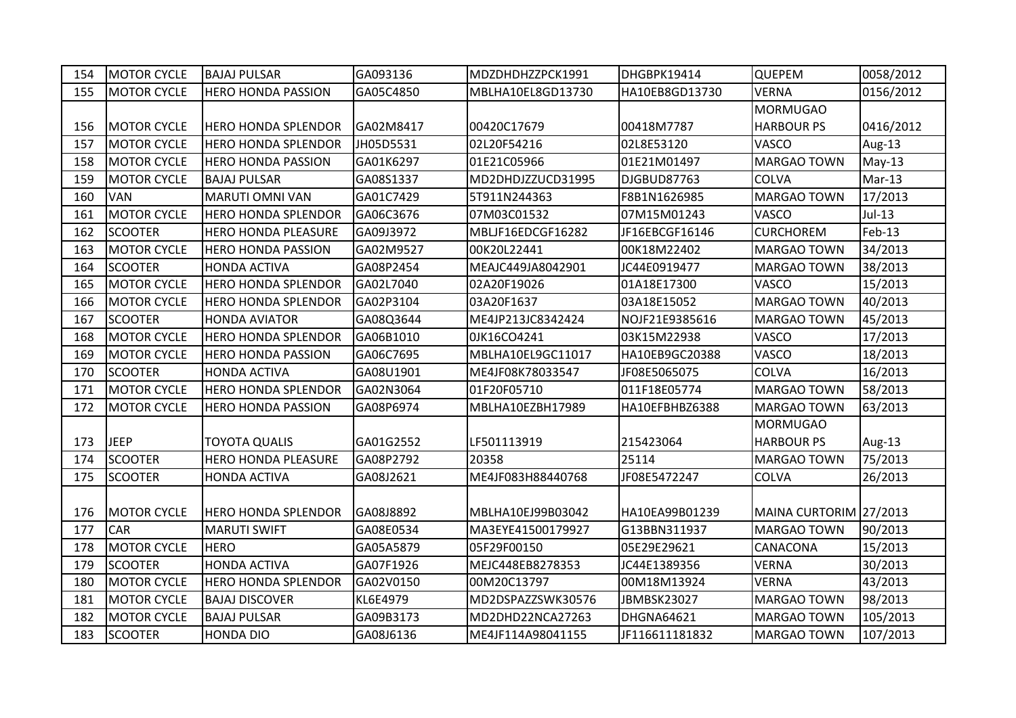| 154 | <b>MOTOR CYCLE</b> | <b>BAJAJ PULSAR</b>        | GA093136  | MDZDHDHZZPCK1991  | DHGBPK19414    | <b>QUEPEM</b>          | 0058/2012 |
|-----|--------------------|----------------------------|-----------|-------------------|----------------|------------------------|-----------|
| 155 | <b>MOTOR CYCLE</b> | <b>HERO HONDA PASSION</b>  | GA05C4850 | MBLHA10EL8GD13730 | HA10EB8GD13730 | <b>VERNA</b>           | 0156/2012 |
|     |                    |                            |           |                   |                | <b>MORMUGAO</b>        |           |
| 156 | <b>MOTOR CYCLE</b> | <b>HERO HONDA SPLENDOR</b> | GA02M8417 | 00420C17679       | 00418M7787     | <b>HARBOUR PS</b>      | 0416/2012 |
| 157 | <b>MOTOR CYCLE</b> | <b>HERO HONDA SPLENDOR</b> | JH05D5531 | 02L20F54216       | 02L8E53120     | VASCO                  | Aug-13    |
| 158 | <b>MOTOR CYCLE</b> | <b>HERO HONDA PASSION</b>  | GA01K6297 | 01E21C05966       | 01E21M01497    | <b>MARGAO TOWN</b>     | $May-13$  |
| 159 | <b>MOTOR CYCLE</b> | <b>BAJAJ PULSAR</b>        | GA08S1337 | MD2DHDJZZUCD31995 | DJGBUD87763    | <b>COLVA</b>           | Mar-13    |
| 160 | <b>VAN</b>         | <b>MARUTI OMNI VAN</b>     | GA01C7429 | 5T911N244363      | F8B1N1626985   | <b>MARGAO TOWN</b>     | 17/2013   |
| 161 | <b>MOTOR CYCLE</b> | <b>HERO HONDA SPLENDOR</b> | GA06C3676 | 07M03C01532       | 07M15M01243    | VASCO                  | $Jul-13$  |
| 162 | <b>SCOOTER</b>     | <b>HERO HONDA PLEASURE</b> | GA09J3972 | MBLJF16EDCGF16282 | JF16EBCGF16146 | <b>CURCHOREM</b>       | Feb-13    |
| 163 | <b>MOTOR CYCLE</b> | <b>HERO HONDA PASSION</b>  | GA02M9527 | 00K20L22441       | 00K18M22402    | <b>MARGAO TOWN</b>     | 34/2013   |
| 164 | <b>SCOOTER</b>     | <b>HONDA ACTIVA</b>        | GA08P2454 | MEAJC449JA8042901 | JC44E0919477   | <b>MARGAO TOWN</b>     | 38/2013   |
| 165 | <b>MOTOR CYCLE</b> | <b>HERO HONDA SPLENDOR</b> | GA02L7040 | 02A20F19026       | 01A18E17300    | VASCO                  | 15/2013   |
| 166 | <b>MOTOR CYCLE</b> | <b>HERO HONDA SPLENDOR</b> | GA02P3104 | 03A20F1637        | 03A18E15052    | <b>MARGAO TOWN</b>     | 40/2013   |
| 167 | <b>SCOOTER</b>     | <b>HONDA AVIATOR</b>       | GA08Q3644 | ME4JP213JC8342424 | NOJF21E9385616 | <b>MARGAO TOWN</b>     | 45/2013   |
| 168 | <b>MOTOR CYCLE</b> | <b>HERO HONDA SPLENDOR</b> | GA06B1010 | 0JK16CO4241       | 03K15M22938    | VASCO                  | 17/2013   |
| 169 | <b>MOTOR CYCLE</b> | <b>HERO HONDA PASSION</b>  | GA06C7695 | MBLHA10EL9GC11017 | HA10EB9GC20388 | VASCO                  | 18/2013   |
| 170 | <b>SCOOTER</b>     | <b>HONDA ACTIVA</b>        | GA08U1901 | ME4JF08K78033547  | JF08E5065075   | <b>COLVA</b>           | 16/2013   |
| 171 | <b>MOTOR CYCLE</b> | <b>HERO HONDA SPLENDOR</b> | GA02N3064 | 01F20F05710       | 011F18E05774   | <b>MARGAO TOWN</b>     | 58/2013   |
| 172 | <b>MOTOR CYCLE</b> | <b>HERO HONDA PASSION</b>  | GA08P6974 | MBLHA10EZBH17989  | HA10EFBHBZ6388 | <b>MARGAO TOWN</b>     | 63/2013   |
|     |                    |                            |           |                   |                | <b>MORMUGAO</b>        |           |
| 173 | <b>JEEP</b>        | <b>TOYOTA QUALIS</b>       | GA01G2552 | LF501113919       | 215423064      | <b>HARBOUR PS</b>      | Aug-13    |
| 174 | <b>SCOOTER</b>     | <b>HERO HONDA PLEASURE</b> | GA08P2792 | 20358             | 25114          | <b>MARGAO TOWN</b>     | 75/2013   |
| 175 | <b>SCOOTER</b>     | HONDA ACTIVA               | GA08J2621 | ME4JF083H88440768 | JF08E5472247   | <b>COLVA</b>           | 26/2013   |
|     |                    |                            |           |                   |                |                        |           |
| 176 | <b>MOTOR CYCLE</b> | <b>HERO HONDA SPLENDOR</b> | GA08J8892 | MBLHA10EJ99B03042 | HA10EA99B01239 | MAINA CURTORIM 27/2013 |           |
| 177 | <b>CAR</b>         | <b>MARUTI SWIFT</b>        | GA08E0534 | MA3EYE41500179927 | G13BBN311937   | <b>MARGAO TOWN</b>     | 90/2013   |
| 178 | <b>MOTOR CYCLE</b> | <b>HERO</b>                | GA05A5879 | 05F29F00150       | 05E29E29621    | CANACONA               | 15/2013   |
| 179 | <b>SCOOTER</b>     | <b>HONDA ACTIVA</b>        | GA07F1926 | MEJC448EB8278353  | JC44E1389356   | <b>VERNA</b>           | 30/2013   |
| 180 | <b>MOTOR CYCLE</b> | <b>HERO HONDA SPLENDOR</b> | GA02V0150 | 00M20C13797       | 00M18M13924    | <b>VERNA</b>           | 43/2013   |
| 181 | <b>MOTOR CYCLE</b> | <b>BAJAJ DISCOVER</b>      | KL6E4979  | MD2DSPAZZSWK30576 | JBMBSK23027    | <b>MARGAO TOWN</b>     | 98/2013   |
| 182 | <b>MOTOR CYCLE</b> | <b>BAJAJ PULSAR</b>        | GA09B3173 | MD2DHD22NCA27263  | DHGNA64621     | <b>MARGAO TOWN</b>     | 105/2013  |
| 183 | <b>SCOOTER</b>     | <b>HONDA DIO</b>           | GA08J6136 | ME4JF114A98041155 | JF116611181832 | <b>MARGAO TOWN</b>     | 107/2013  |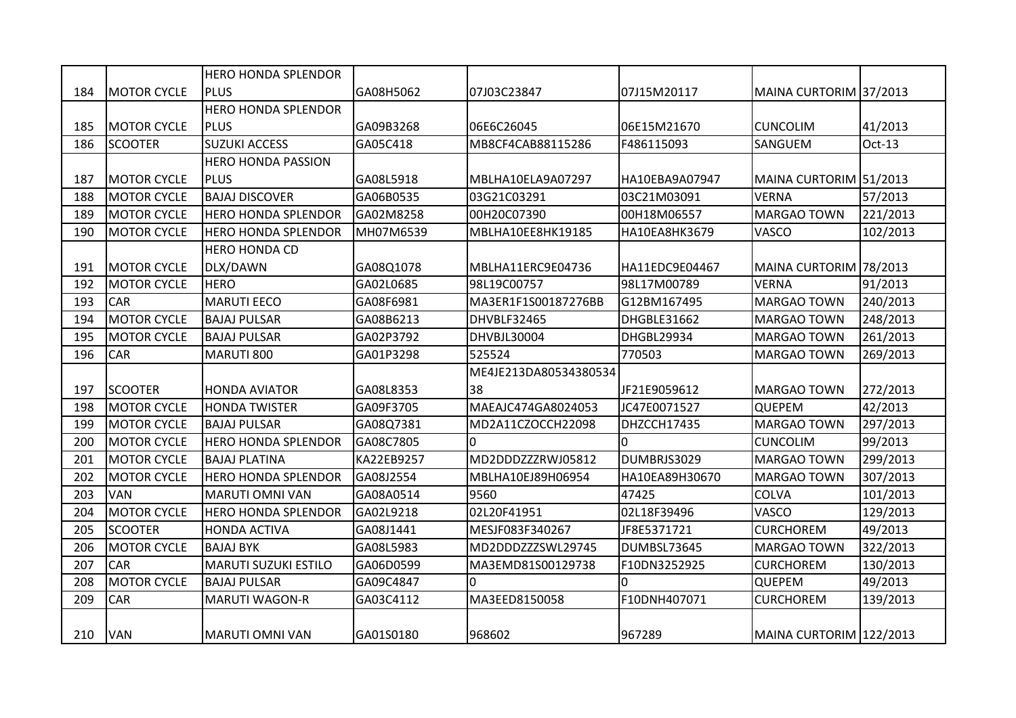|     |                    | <b>HERO HONDA SPLENDOR</b>  |            |                       |                |                         |          |
|-----|--------------------|-----------------------------|------------|-----------------------|----------------|-------------------------|----------|
| 184 | <b>MOTOR CYCLE</b> | <b>PLUS</b>                 | GA08H5062  | 07J03C23847           | 07J15M20117    | MAINA CURTORIM 37/2013  |          |
|     |                    | <b>HERO HONDA SPLENDOR</b>  |            |                       |                |                         |          |
| 185 | <b>MOTOR CYCLE</b> | <b>PLUS</b>                 | GA09B3268  | 06E6C26045            | 06E15M21670    | <b>CUNCOLIM</b>         | 41/2013  |
| 186 | <b>SCOOTER</b>     | <b>SUZUKI ACCESS</b>        | GA05C418   | MB8CF4CAB88115286     | F486115093     | SANGUEM                 | Oct-13   |
|     |                    | <b>HERO HONDA PASSION</b>   |            |                       |                |                         |          |
| 187 | <b>MOTOR CYCLE</b> | <b>PLUS</b>                 | GA08L5918  | MBLHA10ELA9A07297     | HA10EBA9A07947 | MAINA CURTORIM 51/2013  |          |
| 188 | <b>MOTOR CYCLE</b> | <b>BAJAJ DISCOVER</b>       | GA06B0535  | 03G21C03291           | 03C21M03091    | <b>VERNA</b>            | 57/2013  |
| 189 | <b>MOTOR CYCLE</b> | <b>HERO HONDA SPLENDOR</b>  | GA02M8258  | 00H20C07390           | 00H18M06557    | <b>MARGAO TOWN</b>      | 221/2013 |
| 190 | <b>MOTOR CYCLE</b> | <b>HERO HONDA SPLENDOR</b>  | MH07M6539  | MBLHA10EE8HK19185     | HA10EA8HK3679  | <b>VASCO</b>            | 102/2013 |
|     |                    | <b>HERO HONDA CD</b>        |            |                       |                |                         |          |
| 191 | <b>MOTOR CYCLE</b> | DLX/DAWN                    | GA08Q1078  | MBLHA11ERC9E04736     | HA11EDC9E04467 | MAINA CURTORIM 78/2013  |          |
| 192 | <b>MOTOR CYCLE</b> | <b>HERO</b>                 | GA02L0685  | 98L19C00757           | 98L17M00789    | <b>VERNA</b>            | 91/2013  |
| 193 | <b>CAR</b>         | <b>MARUTI EECO</b>          | GA08F6981  | MA3ER1F1S00187276BB   | G12BM167495    | <b>MARGAO TOWN</b>      | 240/2013 |
| 194 | <b>MOTOR CYCLE</b> | <b>BAJAJ PULSAR</b>         | GA08B6213  | DHVBLF32465           | DHGBLE31662    | <b>MARGAO TOWN</b>      | 248/2013 |
| 195 | <b>MOTOR CYCLE</b> | <b>BAJAJ PULSAR</b>         | GA02P3792  | DHVBJL30004           | DHGBL29934     | <b>MARGAO TOWN</b>      | 261/2013 |
| 196 | <b>CAR</b>         | MARUTI 800                  | GA01P3298  | 525524                | 770503         | MARGAO TOWN             | 269/2013 |
|     |                    |                             |            | ME4JE213DA80534380534 |                |                         |          |
| 197 | <b>SCOOTER</b>     | <b>HONDA AVIATOR</b>        | GA08L8353  | 38                    | JF21E9059612   | MARGAO TOWN             | 272/2013 |
| 198 | <b>MOTOR CYCLE</b> | <b>HONDA TWISTER</b>        | GA09F3705  | MAEAJC474GA8024053    | JC47E0071527   | <b>QUEPEM</b>           | 42/2013  |
| 199 | <b>MOTOR CYCLE</b> | <b>BAJAJ PULSAR</b>         | GA08Q7381  | MD2A11CZOCCH22098     | DHZCCH17435    | <b>MARGAO TOWN</b>      | 297/2013 |
| 200 | <b>MOTOR CYCLE</b> | <b>HERO HONDA SPLENDOR</b>  | GA08C7805  | $\overline{0}$        | l0.            | <b>CUNCOLIM</b>         | 99/2013  |
| 201 | <b>MOTOR CYCLE</b> | <b>BAJAJ PLATINA</b>        | KA22EB9257 | MD2DDDZZZRWJ05812     | DUMBRJS3029    | <b>MARGAO TOWN</b>      | 299/2013 |
| 202 | <b>MOTOR CYCLE</b> | <b>HERO HONDA SPLENDOR</b>  | GA08J2554  | MBLHA10EJ89H06954     | HA10EA89H30670 | <b>MARGAO TOWN</b>      | 307/2013 |
| 203 | <b>VAN</b>         | <b>MARUTI OMNI VAN</b>      | GA08A0514  | 9560                  | 47425          | <b>COLVA</b>            | 101/2013 |
| 204 | <b>MOTOR CYCLE</b> | <b>HERO HONDA SPLENDOR</b>  | GA02L9218  | 02L20F41951           | 02L18F39496    | <b>VASCO</b>            | 129/2013 |
| 205 | <b>SCOOTER</b>     | <b>HONDA ACTIVA</b>         | GA08J1441  | MESJF083F340267       | JF8E5371721    | <b>CURCHOREM</b>        | 49/2013  |
| 206 | <b>MOTOR CYCLE</b> | <b>BAJAJ BYK</b>            | GA08L5983  | MD2DDDZZZSWL29745     | DUMBSL73645    | <b>MARGAO TOWN</b>      | 322/2013 |
| 207 | <b>CAR</b>         | <b>MARUTI SUZUKI ESTILO</b> | GA06D0599  | MA3EMD81S00129738     | F10DN3252925   | <b>CURCHOREM</b>        | 130/2013 |
| 208 | <b>MOTOR CYCLE</b> | <b>BAJAJ PULSAR</b>         | GA09C4847  | $\Omega$              | l0             | <b>QUEPEM</b>           | 49/2013  |
| 209 | CAR                | <b>MARUTI WAGON-R</b>       | GA03C4112  | MA3EED8150058         | F10DNH407071   | <b>CURCHOREM</b>        | 139/2013 |
| 210 | <b>VAN</b>         | <b>MARUTI OMNI VAN</b>      | GA01S0180  | 968602                | 967289         | MAINA CURTORIM 122/2013 |          |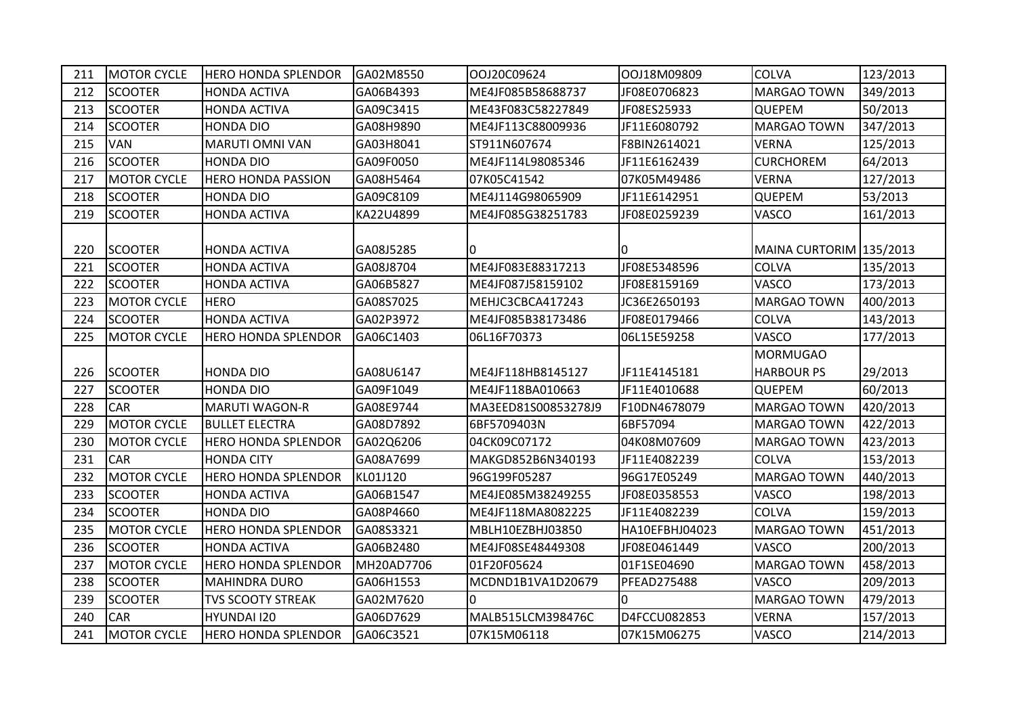| 211 | <b>MOTOR CYCLE</b> | <b>HERO HONDA SPLENDOR</b> | GA02M8550  | OOJ20C09624         | OOJ18M09809        | <b>COLVA</b>            | 123/2013 |
|-----|--------------------|----------------------------|------------|---------------------|--------------------|-------------------------|----------|
| 212 | <b>SCOOTER</b>     | <b>HONDA ACTIVA</b>        | GA06B4393  | ME4JF085B58688737   | JF08E0706823       | <b>MARGAO TOWN</b>      | 349/2013 |
| 213 | <b>SCOOTER</b>     | <b>HONDA ACTIVA</b>        | GA09C3415  | ME43F083C58227849   | JF08ES25933        | <b>QUEPEM</b>           | 50/2013  |
| 214 | <b>SCOOTER</b>     | <b>HONDA DIO</b>           | GA08H9890  | ME4JF113C88009936   | JF11E6080792       | <b>MARGAO TOWN</b>      | 347/2013 |
| 215 | <b>VAN</b>         | <b>MARUTI OMNI VAN</b>     | GA03H8041  | ST911N607674        | F8BIN2614021       | <b>VERNA</b>            | 125/2013 |
| 216 | <b>SCOOTER</b>     | <b>HONDA DIO</b>           | GA09F0050  | ME4JF114L98085346   | JF11E6162439       | <b>CURCHOREM</b>        | 64/2013  |
| 217 | <b>MOTOR CYCLE</b> | <b>HERO HONDA PASSION</b>  | GA08H5464  | 07K05C41542         | 07K05M49486        | <b>VERNA</b>            | 127/2013 |
| 218 | <b>SCOOTER</b>     | <b>HONDA DIO</b>           | GA09C8109  | ME4J114G98065909    | JF11E6142951       | <b>QUEPEM</b>           | 53/2013  |
| 219 | <b>SCOOTER</b>     | <b>HONDA ACTIVA</b>        | KA22U4899  | ME4JF085G38251783   | JF08E0259239       | <b>VASCO</b>            | 161/2013 |
| 220 | <b>SCOOTER</b>     | <b>HONDA ACTIVA</b>        | GA08J5285  | m                   | IO                 | MAINA CURTORIM 135/2013 |          |
| 221 | <b>SCOOTER</b>     | <b>HONDA ACTIVA</b>        | GA08J8704  | ME4JF083E88317213   | JF08E5348596       | <b>COLVA</b>            | 135/2013 |
| 222 | <b>SCOOTER</b>     | <b>HONDA ACTIVA</b>        | GA06B5827  | ME4JF087J58159102   | JF08E8159169       | <b>VASCO</b>            | 173/2013 |
| 223 | <b>MOTOR CYCLE</b> | <b>HERO</b>                | GA08S7025  | MEHJC3CBCA417243    | JC36E2650193       | <b>MARGAO TOWN</b>      | 400/2013 |
| 224 | <b>SCOOTER</b>     | <b>HONDA ACTIVA</b>        | GA02P3972  | ME4JF085B38173486   | JF08E0179466       | <b>COLVA</b>            | 143/2013 |
| 225 | <b>MOTOR CYCLE</b> | <b>HERO HONDA SPLENDOR</b> | GA06C1403  | 06L16F70373         | 06L15E59258        | VASCO                   | 177/2013 |
|     |                    |                            |            |                     |                    | MORMUGAO                |          |
| 226 | <b>SCOOTER</b>     | <b>HONDA DIO</b>           | GA08U6147  | ME4JF118HB8145127   | JF11E4145181       | <b>HARBOUR PS</b>       | 29/2013  |
| 227 | <b>SCOOTER</b>     | HONDA DIO                  | GA09F1049  | ME4JF118BA010663    | JF11E4010688       | <b>QUEPEM</b>           | 60/2013  |
| 228 | <b>CAR</b>         | <b>MARUTI WAGON-R</b>      | GA08E9744  | MA3EED81S00853278J9 | F10DN4678079       | <b>MARGAO TOWN</b>      | 420/2013 |
| 229 | <b>MOTOR CYCLE</b> | <b>BULLET ELECTRA</b>      | GA08D7892  | 6BF5709403N         | 6BF57094           | <b>MARGAO TOWN</b>      | 422/2013 |
| 230 | <b>MOTOR CYCLE</b> | <b>HERO HONDA SPLENDOR</b> | GA02Q6206  | 04CK09C07172        | 04K08M07609        | <b>MARGAO TOWN</b>      | 423/2013 |
| 231 | <b>CAR</b>         | <b>HONDA CITY</b>          | GA08A7699  | MAKGD852B6N340193   | JF11E4082239       | <b>COLVA</b>            | 153/2013 |
| 232 | <b>MOTOR CYCLE</b> | <b>HERO HONDA SPLENDOR</b> | KL01J120   | 96G199F05287        | 96G17E05249        | <b>MARGAO TOWN</b>      | 440/2013 |
| 233 | <b>SCOOTER</b>     | <b>HONDA ACTIVA</b>        | GA06B1547  | ME4JE085M38249255   | JF08E0358553       | <b>VASCO</b>            | 198/2013 |
| 234 | <b>SCOOTER</b>     | <b>HONDA DIO</b>           | GA08P4660  | ME4JF118MA8082225   | JF11E4082239       | <b>COLVA</b>            | 159/2013 |
| 235 | <b>MOTOR CYCLE</b> | <b>HERO HONDA SPLENDOR</b> | GA08S3321  | MBLH10EZBHJ03850    | HA10EFBHJ04023     | <b>MARGAO TOWN</b>      | 451/2013 |
| 236 | <b>SCOOTER</b>     | HONDA ACTIVA               | GA06B2480  | ME4JF08SE48449308   | JF08E0461449       | <b>VASCO</b>            | 200/2013 |
| 237 | <b>MOTOR CYCLE</b> | <b>HERO HONDA SPLENDOR</b> | MH20AD7706 | 01F20F05624         | 01F1SE04690        | <b>MARGAO TOWN</b>      | 458/2013 |
| 238 | <b>SCOOTER</b>     | <b>MAHINDRA DURO</b>       | GA06H1553  | MCDND1B1VA1D20679   | <b>PFEAD275488</b> | <b>VASCO</b>            | 209/2013 |
| 239 | <b>SCOOTER</b>     | <b>TVS SCOOTY STREAK</b>   | GA02M7620  | l0                  | l0.                | <b>MARGAO TOWN</b>      | 479/2013 |
| 240 | <b>CAR</b>         | HYUNDAI 120                | GA06D7629  | MALB515LCM398476C   | D4FCCU082853       | <b>VERNA</b>            | 157/2013 |
| 241 | <b>MOTOR CYCLE</b> | <b>HERO HONDA SPLENDOR</b> | GA06C3521  | 07K15M06118         | 07K15M06275        | <b>VASCO</b>            | 214/2013 |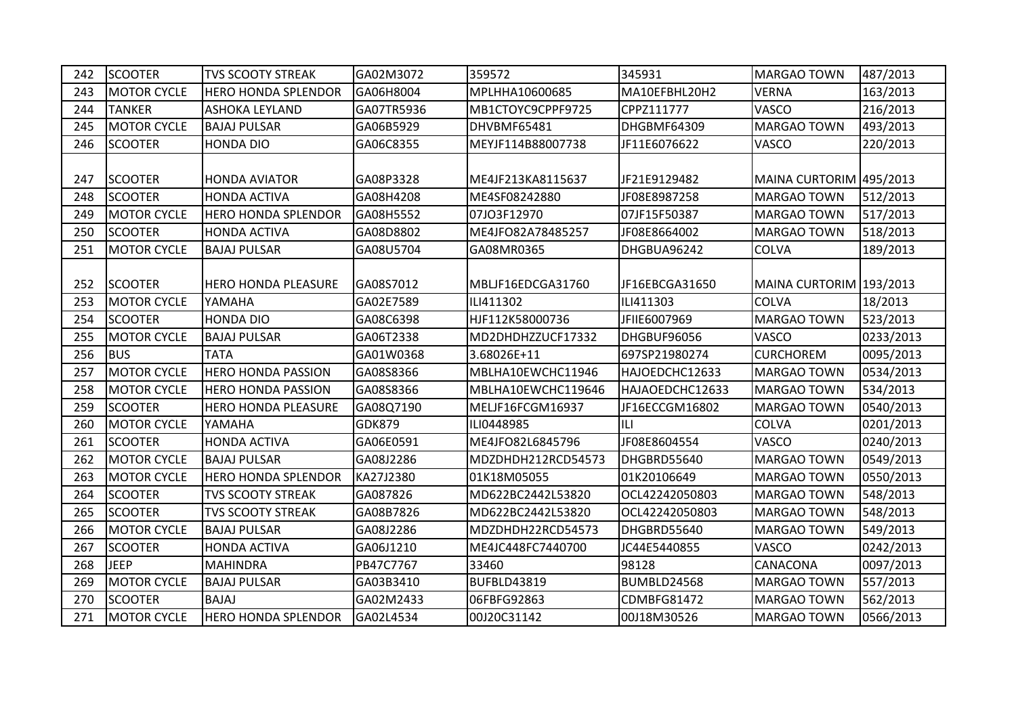| 242 | <b>SCOOTER</b>     | <b>TVS SCOOTY STREAK</b>   | GA02M3072     | 359572             | 345931          | <b>MARGAO TOWN</b>      | 487/2013  |
|-----|--------------------|----------------------------|---------------|--------------------|-----------------|-------------------------|-----------|
| 243 | <b>MOTOR CYCLE</b> | <b>HERO HONDA SPLENDOR</b> | GA06H8004     | MPLHHA10600685     | MA10EFBHL20H2   | <b>VERNA</b>            | 163/2013  |
| 244 | <b>TANKER</b>      | <b>ASHOKA LEYLAND</b>      | GA07TR5936    | MB1CTOYC9CPPF9725  | CPPZ111777      | <b>VASCO</b>            | 216/2013  |
| 245 | <b>MOTOR CYCLE</b> | <b>BAJAJ PULSAR</b>        | GA06B5929     | DHVBMF65481        | DHGBMF64309     | <b>MARGAO TOWN</b>      | 493/2013  |
| 246 | <b>SCOOTER</b>     | <b>HONDA DIO</b>           | GA06C8355     | MEYJF114B88007738  | JF11E6076622    | VASCO                   | 220/2013  |
|     |                    |                            |               |                    |                 |                         |           |
| 247 | <b>SCOOTER</b>     | <b>HONDA AVIATOR</b>       | GA08P3328     | ME4JF213KA8115637  | JF21E9129482    | MAINA CURTORIM 495/2013 |           |
| 248 | <b>SCOOTER</b>     | <b>HONDA ACTIVA</b>        | GA08H4208     | ME4SF08242880      | JF08E8987258    | <b>MARGAO TOWN</b>      | 512/2013  |
| 249 | <b>MOTOR CYCLE</b> | <b>HERO HONDA SPLENDOR</b> | GA08H5552     | 07JO3F12970        | 07JF15F50387    | <b>MARGAO TOWN</b>      | 517/2013  |
| 250 | <b>SCOOTER</b>     | <b>HONDA ACTIVA</b>        | GA08D8802     | ME4JFO82A78485257  | JF08E8664002    | <b>MARGAO TOWN</b>      | 518/2013  |
| 251 | <b>MOTOR CYCLE</b> | <b>BAJAJ PULSAR</b>        | GA08U5704     | GA08MR0365         | DHGBUA96242     | <b>COLVA</b>            | 189/2013  |
|     |                    |                            |               |                    |                 |                         |           |
| 252 | <b>SCOOTER</b>     | <b>HERO HONDA PLEASURE</b> | GA08S7012     | MBLJF16EDCGA31760  | JF16EBCGA31650  | MAINA CURTORIM 193/2013 |           |
| 253 | <b>MOTOR CYCLE</b> | YAMAHA                     | GA02E7589     | ILI411302          | ILI411303       | <b>COLVA</b>            | 18/2013   |
| 254 | <b>SCOOTER</b>     | <b>HONDA DIO</b>           | GA08C6398     | HJF112K58000736    | JFIIE6007969    | <b>MARGAO TOWN</b>      | 523/2013  |
| 255 | <b>MOTOR CYCLE</b> | <b>BAJAJ PULSAR</b>        | GA06T2338     | MD2DHDHZZUCF17332  | DHGBUF96056     | <b>VASCO</b>            | 0233/2013 |
|     |                    |                            |               |                    |                 |                         |           |
| 256 | <b>BUS</b>         | <b>TATA</b>                | GA01W0368     | 3.68026E+11        | 697SP21980274   | <b>CURCHOREM</b>        | 0095/2013 |
| 257 | <b>MOTOR CYCLE</b> | <b>HERO HONDA PASSION</b>  | GA08S8366     | MBLHA10EWCHC11946  | HAJOEDCHC12633  | <b>MARGAO TOWN</b>      | 0534/2013 |
| 258 | <b>MOTOR CYCLE</b> | <b>HERO HONDA PASSION</b>  | GA08S8366     | MBLHA10EWCHC119646 | HAJAOEDCHC12633 | <b>MARGAO TOWN</b>      | 534/2013  |
| 259 | <b>SCOOTER</b>     | <b>HERO HONDA PLEASURE</b> | GA08Q7190     | MELJF16FCGM16937   | JF16ECCGM16802  | <b>MARGAO TOWN</b>      | 0540/2013 |
| 260 | <b>MOTOR CYCLE</b> | YAMAHA                     | <b>GDK879</b> | ILI0448985         | ILI             | <b>COLVA</b>            | 0201/2013 |
| 261 | <b>SCOOTER</b>     | <b>HONDA ACTIVA</b>        | GA06E0591     | ME4JFO82L6845796   | JF08E8604554    | <b>VASCO</b>            | 0240/2013 |
| 262 | <b>MOTOR CYCLE</b> | <b>BAJAJ PULSAR</b>        | GA08J2286     | MDZDHDH212RCD54573 | DHGBRD55640     | <b>MARGAO TOWN</b>      | 0549/2013 |
| 263 | <b>MOTOR CYCLE</b> | <b>HERO HONDA SPLENDOR</b> | KA27J2380     | 01K18M05055        | 01K20106649     | <b>MARGAO TOWN</b>      | 0550/2013 |
| 264 | <b>SCOOTER</b>     | <b>TVS SCOOTY STREAK</b>   | GA087826      | MD622BC2442L53820  | OCL42242050803  | <b>MARGAO TOWN</b>      | 548/2013  |
| 265 | <b>SCOOTER</b>     | <b>TVS SCOOTY STREAK</b>   | GA08B7826     | MD622BC2442L53820  | OCL42242050803  | <b>MARGAO TOWN</b>      | 548/2013  |
| 266 | <b>MOTOR CYCLE</b> | <b>BAJAJ PULSAR</b>        | GA08J2286     | MDZDHDH22RCD54573  | DHGBRD55640     | <b>MARGAO TOWN</b>      | 549/2013  |
| 267 | <b>SCOOTER</b>     | <b>HONDA ACTIVA</b>        | GA06J1210     | ME4JC448FC7440700  | JC44E5440855    | <b>VASCO</b>            | 0242/2013 |
| 268 | <b>JEEP</b>        | <b>MAHINDRA</b>            | PB47C7767     | 33460              | 98128           | <b>CANACONA</b>         | 0097/2013 |
| 269 | <b>MOTOR CYCLE</b> | <b>BAJAJ PULSAR</b>        | GA03B3410     | BUFBLD43819        | BUMBLD24568     | <b>MARGAO TOWN</b>      | 557/2013  |
| 270 | <b>SCOOTER</b>     | <b>BAJAJ</b>               | GA02M2433     | 06FBFG92863        | CDMBFG81472     | <b>MARGAO TOWN</b>      | 562/2013  |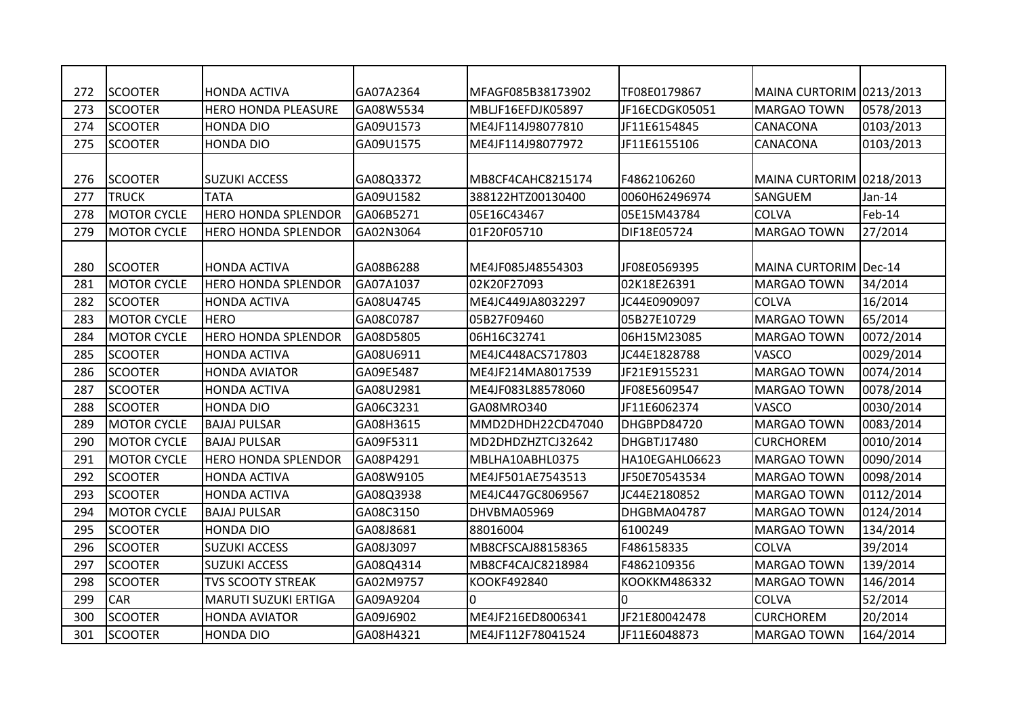| 272 | <b>SCOOTER</b>     | <b>HONDA ACTIVA</b>         | GA07A2364 | MFAGF085B38173902 | TF08E0179867   | MAINA CURTORIM 0213/2013 |           |
|-----|--------------------|-----------------------------|-----------|-------------------|----------------|--------------------------|-----------|
| 273 | <b>SCOOTER</b>     | <b>HERO HONDA PLEASURE</b>  | GA08W5534 | MBLJF16EFDJK05897 | JF16ECDGK05051 | MARGAO TOWN              | 0578/2013 |
| 274 | <b>SCOOTER</b>     | <b>HONDA DIO</b>            | GA09U1573 | ME4JF114J98077810 | JF11E6154845   | CANACONA                 | 0103/2013 |
| 275 | <b>SCOOTER</b>     | <b>HONDA DIO</b>            | GA09U1575 | ME4JF114J98077972 | JF11E6155106   | <b>CANACONA</b>          | 0103/2013 |
| 276 | <b>SCOOTER</b>     | <b>SUZUKI ACCESS</b>        | GA08Q3372 | MB8CF4CAHC8215174 | F4862106260    | MAINA CURTORIM 0218/2013 |           |
| 277 | <b>TRUCK</b>       | <b>TATA</b>                 | GA09U1582 | 388122HTZ00130400 | 0060H62496974  | <b>SANGUEM</b>           | $Jan-14$  |
| 278 | <b>MOTOR CYCLE</b> | <b>HERO HONDA SPLENDOR</b>  | GA06B5271 | 05E16C43467       | 05E15M43784    | <b>COLVA</b>             | Feb-14    |
| 279 | <b>MOTOR CYCLE</b> | <b>HERO HONDA SPLENDOR</b>  | GA02N3064 | 01F20F05710       | DIF18E05724    | <b>MARGAO TOWN</b>       | 27/2014   |
| 280 | <b>SCOOTER</b>     | <b>HONDA ACTIVA</b>         | GA08B6288 | ME4JF085J48554303 | JF08E0569395   | MAINA CURTORIM Dec-14    |           |
| 281 | <b>MOTOR CYCLE</b> | <b>HERO HONDA SPLENDOR</b>  | GA07A1037 | 02K20F27093       | 02K18E26391    | <b>MARGAO TOWN</b>       | 34/2014   |
| 282 | <b>SCOOTER</b>     | <b>HONDA ACTIVA</b>         | GA08U4745 | ME4JC449JA8032297 | JC44E0909097   | <b>COLVA</b>             | 16/2014   |
| 283 | <b>MOTOR CYCLE</b> | <b>HERO</b>                 | GA08C0787 | 05B27F09460       | 05B27E10729    | <b>MARGAO TOWN</b>       | 65/2014   |
| 284 | <b>MOTOR CYCLE</b> | <b>HERO HONDA SPLENDOR</b>  | GA08D5805 | 06H16C32741       | 06H15M23085    | <b>MARGAO TOWN</b>       | 0072/2014 |
| 285 | <b>SCOOTER</b>     | <b>HONDA ACTIVA</b>         | GA08U6911 | ME4JC448ACS717803 | JC44E1828788   | <b>VASCO</b>             | 0029/2014 |
| 286 | <b>SCOOTER</b>     | <b>HONDA AVIATOR</b>        | GA09E5487 | ME4JF214MA8017539 | JF21E9155231   | <b>MARGAO TOWN</b>       | 0074/2014 |
| 287 | <b>SCOOTER</b>     | <b>HONDA ACTIVA</b>         | GA08U2981 | ME4JF083L88578060 | JF08E5609547   | <b>MARGAO TOWN</b>       | 0078/2014 |
| 288 | <b>SCOOTER</b>     | <b>HONDA DIO</b>            | GA06C3231 | GA08MRO340        | JF11E6062374   | <b>VASCO</b>             | 0030/2014 |
| 289 | <b>MOTOR CYCLE</b> | <b>BAJAJ PULSAR</b>         | GA08H3615 | MMD2DHDH22CD47040 | DHGBPD84720    | MARGAO TOWN              | 0083/2014 |
| 290 | <b>MOTOR CYCLE</b> | <b>BAJAJ PULSAR</b>         | GA09F5311 | MD2DHDZHZTCJ32642 | DHGBTJ17480    | <b>CURCHOREM</b>         | 0010/2014 |
| 291 | <b>MOTOR CYCLE</b> | <b>HERO HONDA SPLENDOR</b>  | GA08P4291 | MBLHA10ABHL0375   | HA10EGAHL06623 | <b>MARGAO TOWN</b>       | 0090/2014 |
| 292 | <b>SCOOTER</b>     | <b>HONDA ACTIVA</b>         | GA08W9105 | ME4JF501AE7543513 | JF50E70543534  | <b>MARGAO TOWN</b>       | 0098/2014 |
| 293 | <b>SCOOTER</b>     | <b>HONDA ACTIVA</b>         | GA08Q3938 | ME4JC447GC8069567 | JC44E2180852   | MARGAO TOWN              | 0112/2014 |
| 294 | <b>MOTOR CYCLE</b> | <b>BAJAJ PULSAR</b>         | GA08C3150 | DHVBMA05969       | DHGBMA04787    | MARGAO TOWN              | 0124/2014 |
| 295 | <b>SCOOTER</b>     | <b>HONDA DIO</b>            | GA08J8681 | 88016004          | 6100249        | <b>MARGAO TOWN</b>       | 134/2014  |
| 296 | <b>SCOOTER</b>     | <b>SUZUKI ACCESS</b>        | GA08J3097 | MB8CFSCAJ88158365 | F486158335     | <b>COLVA</b>             | 39/2014   |
| 297 | <b>SCOOTER</b>     | <b>SUZUKI ACCESS</b>        | GA08Q4314 | MB8CF4CAJC8218984 | F4862109356    | <b>MARGAO TOWN</b>       | 139/2014  |
| 298 | <b>SCOOTER</b>     | <b>TVS SCOOTY STREAK</b>    | GA02M9757 | KOOKF492840       | KOOKKM486332   | <b>MARGAO TOWN</b>       | 146/2014  |
| 299 | <b>CAR</b>         | <b>MARUTI SUZUKI ERTIGA</b> | GA09A9204 | l0                | I٥             | <b>COLVA</b>             | 52/2014   |
| 300 | <b>SCOOTER</b>     | <b>HONDA AVIATOR</b>        | GA09J6902 | ME4JF216ED8006341 | JF21E80042478  | <b>CURCHOREM</b>         | 20/2014   |
| 301 | <b>SCOOTER</b>     | <b>HONDA DIO</b>            | GA08H4321 | ME4JF112F78041524 | JF11E6048873   | <b>MARGAO TOWN</b>       | 164/2014  |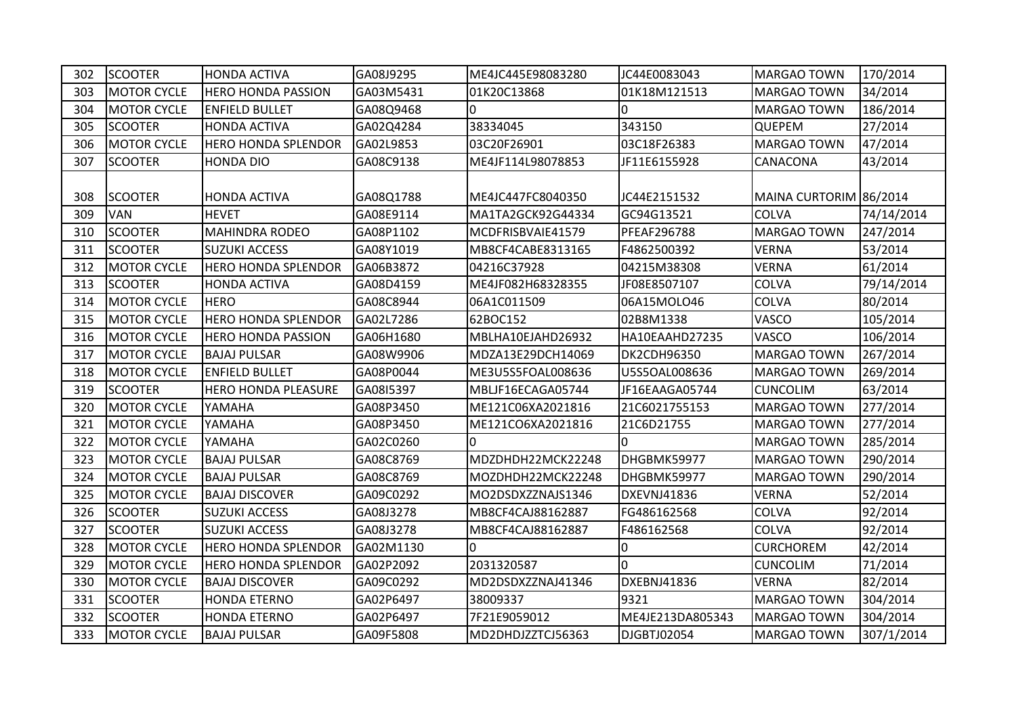| 302 | <b>SCOOTER</b>     | <b>HONDA ACTIVA</b>        | GA08J9295 | ME4JC445E98083280 | JC44E0083043       | <b>MARGAO TOWN</b>     | 170/2014   |
|-----|--------------------|----------------------------|-----------|-------------------|--------------------|------------------------|------------|
| 303 | <b>MOTOR CYCLE</b> | <b>HERO HONDA PASSION</b>  | GA03M5431 | 01K20C13868       | 01K18M121513       | <b>MARGAO TOWN</b>     | 34/2014    |
| 304 | <b>MOTOR CYCLE</b> | <b>ENFIELD BULLET</b>      | GA08Q9468 | 0                 | n.                 | <b>MARGAO TOWN</b>     | 186/2014   |
| 305 | <b>SCOOTER</b>     | <b>HONDA ACTIVA</b>        | GA02Q4284 | 38334045          | 343150             | <b>QUEPEM</b>          | 27/2014    |
| 306 | <b>MOTOR CYCLE</b> | <b>HERO HONDA SPLENDOR</b> | GA02L9853 | 03C20F26901       | 03C18F26383        | <b>MARGAO TOWN</b>     | 47/2014    |
| 307 | <b>SCOOTER</b>     | <b>HONDA DIO</b>           | GA08C9138 | ME4JF114L98078853 | JF11E6155928       | <b>CANACONA</b>        | 43/2014    |
|     |                    |                            |           |                   |                    |                        |            |
| 308 | <b>SCOOTER</b>     | <b>HONDA ACTIVA</b>        | GA08Q1788 | ME4JC447FC8040350 | JC44E2151532       | MAINA CURTORIM 86/2014 |            |
| 309 | <b>VAN</b>         | <b>HEVET</b>               | GA08E9114 | MA1TA2GCK92G44334 | GC94G13521         | <b>COLVA</b>           | 74/14/2014 |
| 310 | <b>SCOOTER</b>     | <b>MAHINDRA RODEO</b>      | GA08P1102 | MCDFRISBVAIE41579 | <b>PFEAF296788</b> | <b>MARGAO TOWN</b>     | 247/2014   |
| 311 | <b>SCOOTER</b>     | <b>SUZUKI ACCESS</b>       | GA08Y1019 | MB8CF4CABE8313165 | F4862500392        | <b>VERNA</b>           | 53/2014    |
| 312 | <b>MOTOR CYCLE</b> | <b>HERO HONDA SPLENDOR</b> | GA06B3872 | 04216C37928       | 04215M38308        | <b>VERNA</b>           | 61/2014    |
| 313 | <b>SCOOTER</b>     | <b>HONDA ACTIVA</b>        | GA08D4159 | ME4JF082H68328355 | JF08E8507107       | <b>COLVA</b>           | 79/14/2014 |
| 314 | <b>MOTOR CYCLE</b> | <b>HERO</b>                | GA08C8944 | 06A1C011509       | 06A15MOLO46        | <b>COLVA</b>           | 80/2014    |
| 315 | <b>MOTOR CYCLE</b> | <b>HERO HONDA SPLENDOR</b> | GA02L7286 | 62BOC152          | 02B8M1338          | <b>VASCO</b>           | 105/2014   |
| 316 | <b>MOTOR CYCLE</b> | <b>HERO HONDA PASSION</b>  | GA06H1680 | MBLHA10EJAHD26932 | HA10EAAHD27235     | <b>VASCO</b>           | 106/2014   |
| 317 | <b>MOTOR CYCLE</b> | <b>BAJAJ PULSAR</b>        | GA08W9906 | MDZA13E29DCH14069 | <b>DK2CDH96350</b> | MARGAO TOWN            | 267/2014   |
| 318 | <b>MOTOR CYCLE</b> | <b>ENFIELD BULLET</b>      | GA08P0044 | ME3U5S5FOAL008636 | U5S5OAL008636      | <b>MARGAO TOWN</b>     | 269/2014   |
| 319 | <b>SCOOTER</b>     | <b>HERO HONDA PLEASURE</b> | GA08I5397 | MBLJF16ECAGA05744 | JF16EAAGA05744     | <b>CUNCOLIM</b>        | 63/2014    |
| 320 | <b>MOTOR CYCLE</b> | YAMAHA                     | GA08P3450 | ME121C06XA2021816 | 21C6021755153      | <b>MARGAO TOWN</b>     | 277/2014   |
| 321 | <b>MOTOR CYCLE</b> | YAMAHA                     | GA08P3450 | ME121CO6XA2021816 | 21C6D21755         | <b>MARGAO TOWN</b>     | 277/2014   |
| 322 | <b>MOTOR CYCLE</b> | YAMAHA                     | GA02C0260 | 0                 | I٥                 | <b>MARGAO TOWN</b>     | 285/2014   |
| 323 | <b>MOTOR CYCLE</b> | <b>BAJAJ PULSAR</b>        | GA08C8769 | MDZDHDH22MCK22248 | DHGBMK59977        | <b>MARGAO TOWN</b>     | 290/2014   |
| 324 | <b>MOTOR CYCLE</b> | <b>BAJAJ PULSAR</b>        | GA08C8769 | MOZDHDH22MCK22248 | DHGBMK59977        | <b>MARGAO TOWN</b>     | 290/2014   |
| 325 | <b>MOTOR CYCLE</b> | <b>BAJAJ DISCOVER</b>      | GA09C0292 | MO2DSDXZZNAJS1346 | DXEVNJ41836        | <b>VERNA</b>           | 52/2014    |
| 326 | <b>SCOOTER</b>     | <b>SUZUKI ACCESS</b>       | GA08J3278 | MB8CF4CAJ88162887 | FG486162568        | <b>COLVA</b>           | 92/2014    |
| 327 | <b>SCOOTER</b>     | <b>SUZUKI ACCESS</b>       | GA08J3278 | MB8CF4CAJ88162887 | F486162568         | <b>COLVA</b>           | 92/2014    |
| 328 | <b>MOTOR CYCLE</b> | <b>HERO HONDA SPLENDOR</b> | GA02M1130 | 0                 | 10                 | <b>CURCHOREM</b>       | 42/2014    |
| 329 | <b>MOTOR CYCLE</b> | <b>HERO HONDA SPLENDOR</b> | GA02P2092 | 2031320587        | I٥                 | <b>CUNCOLIM</b>        | 71/2014    |
| 330 | <b>MOTOR CYCLE</b> | <b>BAJAJ DISCOVER</b>      | GA09C0292 | MD2DSDXZZNAJ41346 | DXEBNJ41836        | <b>VERNA</b>           | 82/2014    |
| 331 | <b>SCOOTER</b>     | <b>HONDA ETERNO</b>        | GA02P6497 | 38009337          | 9321               | <b>MARGAO TOWN</b>     | 304/2014   |
| 332 | <b>SCOOTER</b>     | <b>HONDA ETERNO</b>        | GA02P6497 | 7F21E9059012      | ME4JE213DA805343   | <b>MARGAO TOWN</b>     | 304/2014   |
| 333 | <b>MOTOR CYCLE</b> | <b>BAJAJ PULSAR</b>        | GA09F5808 | MD2DHDJZZTCJ56363 | DJGBTJ02054        | <b>MARGAO TOWN</b>     | 307/1/2014 |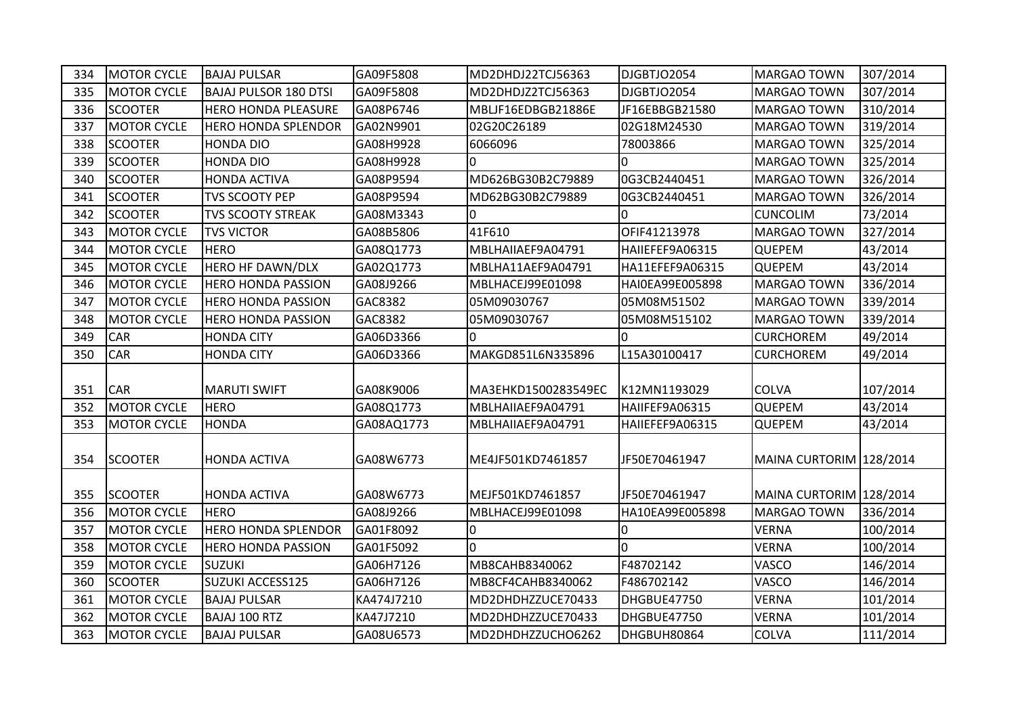| 334 | <b>MOTOR CYCLE</b> | <b>BAJAJ PULSAR</b>          | GA09F5808  | MD2DHDJ22TCJ56363   | DJGBTJO2054     | <b>MARGAO TOWN</b>      | 307/2014 |
|-----|--------------------|------------------------------|------------|---------------------|-----------------|-------------------------|----------|
| 335 | <b>MOTOR CYCLE</b> | <b>BAJAJ PULSOR 180 DTSI</b> | GA09F5808  | MD2DHDJZ2TCJ56363   | DJGBTJO2054     | <b>MARGAO TOWN</b>      | 307/2014 |
| 336 | <b>SCOOTER</b>     | HERO HONDA PLEASURE          | GA08P6746  | MBLJF16EDBGB21886E  | JF16EBBGB21580  | <b>MARGAO TOWN</b>      | 310/2014 |
| 337 | <b>MOTOR CYCLE</b> | <b>HERO HONDA SPLENDOR</b>   | GA02N9901  | 02G20C26189         | 02G18M24530     | <b>MARGAO TOWN</b>      | 319/2014 |
| 338 | <b>SCOOTER</b>     | <b>HONDA DIO</b>             | GA08H9928  | 6066096             | 78003866        | <b>MARGAO TOWN</b>      | 325/2014 |
| 339 | <b>SCOOTER</b>     | <b>HONDA DIO</b>             | GA08H9928  | $\overline{0}$      | l0              | MARGAO TOWN             | 325/2014 |
| 340 | <b>SCOOTER</b>     | <b>HONDA ACTIVA</b>          | GA08P9594  | MD626BG30B2C79889   | 0G3CB2440451    | <b>MARGAO TOWN</b>      | 326/2014 |
| 341 | <b>SCOOTER</b>     | <b>TVS SCOOTY PEP</b>        | GA08P9594  | MD62BG30B2C79889    | 0G3CB2440451    | <b>MARGAO TOWN</b>      | 326/2014 |
| 342 | <b>SCOOTER</b>     | <b>TVS SCOOTY STREAK</b>     | GA08M3343  | l0                  | $\overline{0}$  | <b>CUNCOLIM</b>         | 73/2014  |
| 343 | <b>MOTOR CYCLE</b> | <b>TVS VICTOR</b>            | GA08B5806  | 41F610              | OFIF41213978    | <b>MARGAO TOWN</b>      | 327/2014 |
| 344 | <b>MOTOR CYCLE</b> | <b>HERO</b>                  | GA08Q1773  | MBLHAIIAEF9A04791   | HAIIEFEF9A06315 | <b>QUEPEM</b>           | 43/2014  |
| 345 | <b>MOTOR CYCLE</b> | <b>HERO HF DAWN/DLX</b>      | GA02Q1773  | MBLHA11AEF9A04791   | HA11EFEF9A06315 | <b>QUEPEM</b>           | 43/2014  |
| 346 | <b>MOTOR CYCLE</b> | <b>HERO HONDA PASSION</b>    | GA08J9266  | MBLHACEJ99E01098    | HAI0EA99E005898 | <b>MARGAO TOWN</b>      | 336/2014 |
| 347 | <b>MOTOR CYCLE</b> | <b>HERO HONDA PASSION</b>    | GAC8382    | 05M09030767         | 05M08M51502     | MARGAO TOWN             | 339/2014 |
| 348 | <b>MOTOR CYCLE</b> | <b>HERO HONDA PASSION</b>    | GAC8382    | 05M09030767         | 05M08M515102    | <b>MARGAO TOWN</b>      | 339/2014 |
| 349 | CAR                | <b>HONDA CITY</b>            | GA06D3366  | <sup>0</sup>        | l0              | <b>CURCHOREM</b>        | 49/2014  |
| 350 | CAR                | <b>HONDA CITY</b>            | GA06D3366  | MAKGD851L6N335896   | L15A30100417    | <b>CURCHOREM</b>        | 49/2014  |
|     |                    |                              |            |                     |                 |                         |          |
| 351 | <b>CAR</b>         | <b>MARUTI SWIFT</b>          | GA08K9006  | MA3EHKD1500283549EC | K12MN1193029    | <b>COLVA</b>            | 107/2014 |
| 352 | <b>MOTOR CYCLE</b> | <b>HERO</b>                  | GA08Q1773  | MBLHAIIAEF9A04791   | HAIIFEF9A06315  | QUEPEM                  | 43/2014  |
| 353 | <b>MOTOR CYCLE</b> | <b>HONDA</b>                 | GA08AQ1773 | MBLHAIIAEF9A04791   | HAIIEFEF9A06315 | <b>QUEPEM</b>           | 43/2014  |
|     |                    |                              |            |                     |                 |                         |          |
| 354 | <b>SCOOTER</b>     | <b>HONDA ACTIVA</b>          | GA08W6773  | ME4JF501KD7461857   | JF50E70461947   | MAINA CURTORIM 128/2014 |          |
|     |                    |                              |            |                     |                 |                         |          |
| 355 | <b>SCOOTER</b>     | <b>HONDA ACTIVA</b>          | GA08W6773  | MEJF501KD7461857    | JF50E70461947   | MAINA CURTORIM 128/2014 |          |
| 356 | <b>MOTOR CYCLE</b> | <b>HERO</b>                  | GA08J9266  | MBLHACEJ99E01098    | HA10EA99E005898 | <b>MARGAO TOWN</b>      | 336/2014 |
| 357 | <b>MOTOR CYCLE</b> | <b>HERO HONDA SPLENDOR</b>   | GA01F8092  | 0                   | 10              | <b>VERNA</b>            | 100/2014 |
| 358 | <b>MOTOR CYCLE</b> | <b>HERO HONDA PASSION</b>    | GA01F5092  | n.                  | I٥              | <b>VERNA</b>            | 100/2014 |
| 359 | <b>MOTOR CYCLE</b> | <b>SUZUKI</b>                | GA06H7126  | MB8CAHB8340062      | F48702142       | VASCO                   | 146/2014 |
| 360 | <b>SCOOTER</b>     | <b>SUZUKI ACCESS125</b>      | GA06H7126  | MB8CF4CAHB8340062   | F486702142      | VASCO                   | 146/2014 |
| 361 | <b>MOTOR CYCLE</b> | <b>BAJAJ PULSAR</b>          | KA474J7210 | MD2DHDHZZUCE70433   | DHGBUE47750     | <b>VERNA</b>            | 101/2014 |
| 362 | <b>MOTOR CYCLE</b> | <b>BAJAJ 100 RTZ</b>         | KA47J7210  | MD2DHDHZZUCE70433   | DHGBUE47750     | <b>VERNA</b>            | 101/2014 |
| 363 | <b>MOTOR CYCLE</b> | <b>BAJAJ PULSAR</b>          | GA08U6573  | MD2DHDHZZUCHO6262   | DHGBUH80864     | COLVA                   | 111/2014 |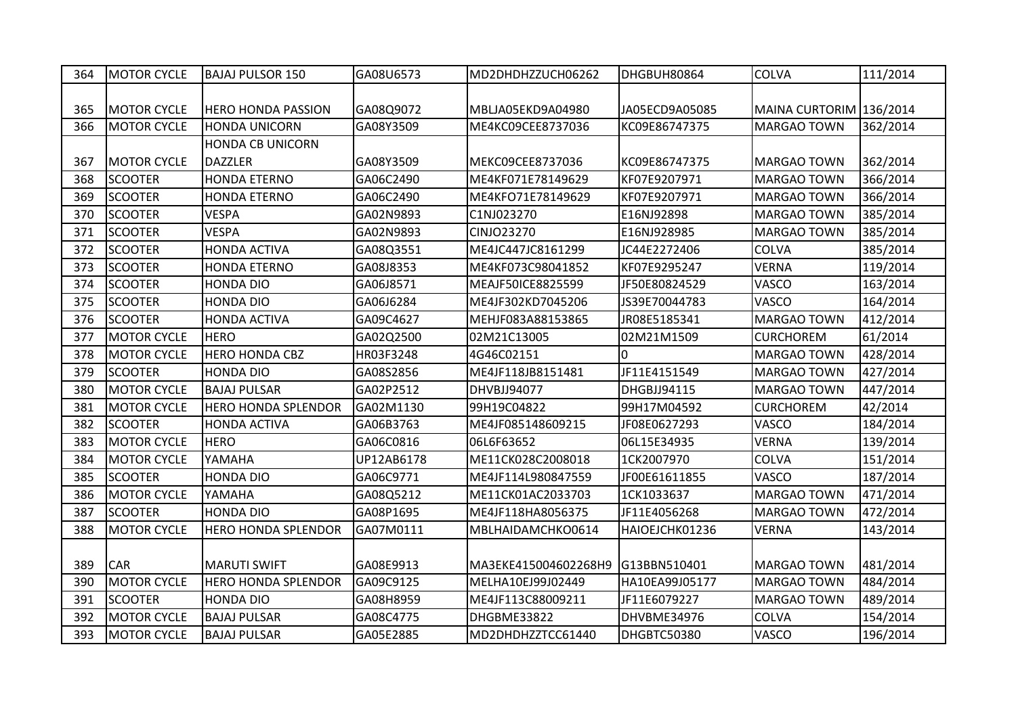| 364 | <b>MOTOR CYCLE</b> | <b>BAJAJ PULSOR 150</b>    | GA08U6573  | MD2DHDHZZUCH06262    | DHGBUH80864    | <b>COLVA</b>            | 111/2014 |
|-----|--------------------|----------------------------|------------|----------------------|----------------|-------------------------|----------|
|     |                    |                            |            |                      |                |                         |          |
| 365 | <b>MOTOR CYCLE</b> | <b>HERO HONDA PASSION</b>  | GA08Q9072  | MBLJA05EKD9A04980    | JA05ECD9A05085 | MAINA CURTORIM 136/2014 |          |
| 366 | <b>MOTOR CYCLE</b> | <b>HONDA UNICORN</b>       | GA08Y3509  | ME4KC09CEE8737036    | KC09E86747375  | <b>MARGAO TOWN</b>      | 362/2014 |
|     |                    | <b>HONDA CB UNICORN</b>    |            |                      |                |                         |          |
| 367 | <b>MOTOR CYCLE</b> | <b>DAZZLER</b>             | GA08Y3509  | MEKC09CEE8737036     | KC09E86747375  | <b>MARGAO TOWN</b>      | 362/2014 |
| 368 | <b>SCOOTER</b>     | <b>HONDA ETERNO</b>        | GA06C2490  | ME4KF071E78149629    | KF07E9207971   | MARGAO TOWN             | 366/2014 |
| 369 | <b>SCOOTER</b>     | <b>HONDA ETERNO</b>        | GA06C2490  | ME4KFO71E78149629    | KF07E9207971   | <b>MARGAO TOWN</b>      | 366/2014 |
| 370 | <b>SCOOTER</b>     | <b>VESPA</b>               | GA02N9893  | C1NJ023270           | E16NJ92898     | <b>MARGAO TOWN</b>      | 385/2014 |
| 371 | <b>SCOOTER</b>     | <b>VESPA</b>               | GA02N9893  | CINJO23270           | E16NJ928985    | <b>MARGAO TOWN</b>      | 385/2014 |
| 372 | <b>SCOOTER</b>     | <b>HONDA ACTIVA</b>        | GA08Q3551  | ME4JC447JC8161299    | JC44E2272406   | <b>COLVA</b>            | 385/2014 |
| 373 | <b>SCOOTER</b>     | <b>HONDA ETERNO</b>        | GA08J8353  | ME4KF073C98041852    | KF07E9295247   | <b>VERNA</b>            | 119/2014 |
| 374 | <b>SCOOTER</b>     | <b>HONDA DIO</b>           | GA06J8571  | MEAJF50ICE8825599    | JF50E80824529  | VASCO                   | 163/2014 |
| 375 | <b>SCOOTER</b>     | <b>HONDA DIO</b>           | GA06J6284  | ME4JF302KD7045206    | JS39E70044783  | VASCO                   | 164/2014 |
| 376 | <b>SCOOTER</b>     | <b>HONDA ACTIVA</b>        | GA09C4627  | MEHJF083A88153865    | JR08E5185341   | <b>MARGAO TOWN</b>      | 412/2014 |
| 377 | <b>MOTOR CYCLE</b> | <b>HERO</b>                | GA02Q2500  | 02M21C13005          | 02M21M1509     | <b>CURCHOREM</b>        | 61/2014  |
| 378 | <b>MOTOR CYCLE</b> | <b>HERO HONDA CBZ</b>      | HR03F3248  | 4G46C02151           | $\overline{0}$ | <b>MARGAO TOWN</b>      | 428/2014 |
| 379 | <b>SCOOTER</b>     | <b>HONDA DIO</b>           | GA08S2856  | ME4JF118JB8151481    | JF11E4151549   | <b>MARGAO TOWN</b>      | 427/2014 |
| 380 | <b>MOTOR CYCLE</b> | <b>BAJAJ PULSAR</b>        | GA02P2512  | DHVBJJ94077          | DHGBJJ94115    | <b>MARGAO TOWN</b>      | 447/2014 |
| 381 | <b>MOTOR CYCLE</b> | <b>HERO HONDA SPLENDOR</b> | GA02M1130  | 99H19C04822          | 99H17M04592    | <b>CURCHOREM</b>        | 42/2014  |
| 382 | <b>SCOOTER</b>     | <b>HONDA ACTIVA</b>        | GA06B3763  | ME4JF085148609215    | JF08E0627293   | VASCO                   | 184/2014 |
| 383 | <b>MOTOR CYCLE</b> | <b>HERO</b>                | GA06C0816  | 06L6F63652           | 06L15E34935    | <b>VERNA</b>            | 139/2014 |
| 384 | <b>MOTOR CYCLE</b> | YAMAHA                     | UP12AB6178 | ME11CK028C2008018    | 1CK2007970     | COLVA                   | 151/2014 |
| 385 | <b>SCOOTER</b>     | <b>HONDA DIO</b>           | GA06C9771  | ME4JF114L980847559   | JF00E61611855  | VASCO                   | 187/2014 |
| 386 | <b>MOTOR CYCLE</b> | YAMAHA                     | GA08Q5212  | ME11CK01AC2033703    | 1CK1033637     | <b>MARGAO TOWN</b>      | 471/2014 |
| 387 | <b>SCOOTER</b>     | <b>HONDA DIO</b>           | GA08P1695  | ME4JF118HA8056375    | JF11E4056268   | <b>MARGAO TOWN</b>      | 472/2014 |
| 388 | <b>MOTOR CYCLE</b> | <b>HERO HONDA SPLENDOR</b> | GA07M0111  | MBLHAIDAMCHKO0614    | HAIOEJCHK01236 | <b>VERNA</b>            | 143/2014 |
|     |                    |                            |            |                      |                |                         |          |
| 389 | <b>CAR</b>         | <b>MARUTI SWIFT</b>        | GA08E9913  | MA3EKE415004602268H9 | G13BBN510401   | MARGAO TOWN             | 481/2014 |
| 390 | <b>MOTOR CYCLE</b> | <b>HERO HONDA SPLENDOR</b> | GA09C9125  | MELHA10EJ99J02449    | HA10EA99J05177 | MARGAO TOWN             | 484/2014 |
| 391 | <b>SCOOTER</b>     | <b>HONDA DIO</b>           | GA08H8959  | ME4JF113C88009211    | JF11E6079227   | <b>MARGAO TOWN</b>      | 489/2014 |
| 392 | <b>MOTOR CYCLE</b> | <b>BAJAJ PULSAR</b>        | GA08C4775  | DHGBME33822          | DHVBME34976    | COLVA                   | 154/2014 |
| 393 | <b>MOTOR CYCLE</b> | <b>BAJAJ PULSAR</b>        | GA05E2885  | MD2DHDHZZTCC61440    | DHGBTC50380    | VASCO                   | 196/2014 |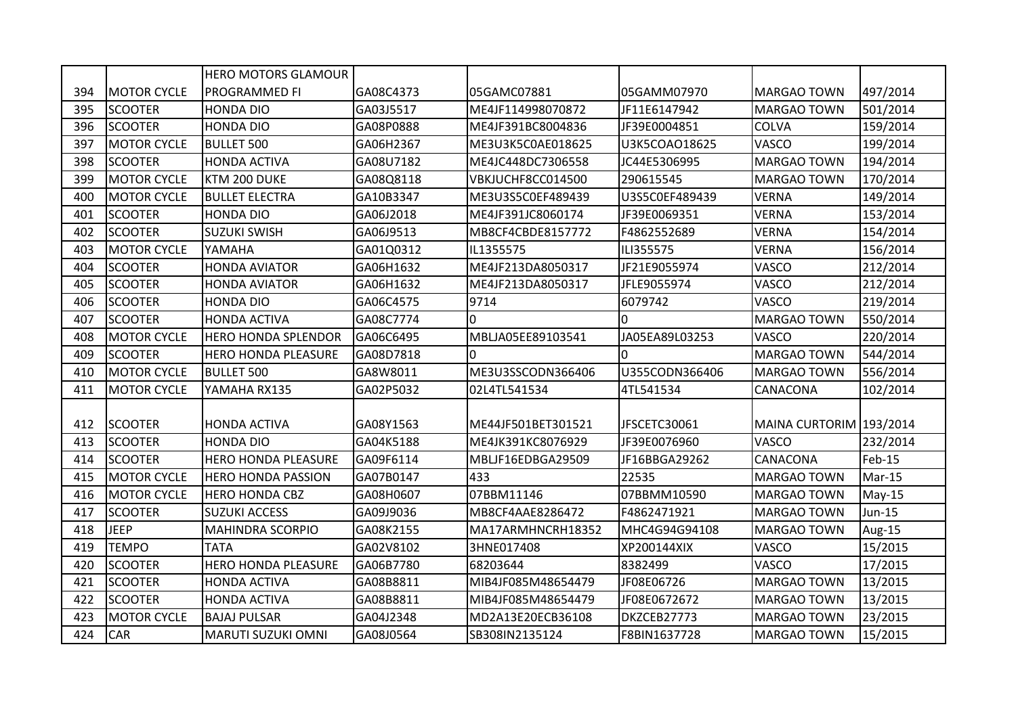|     |                    | <b>HERO MOTORS GLAMOUR</b> |           |                    |                    |                         |          |
|-----|--------------------|----------------------------|-----------|--------------------|--------------------|-------------------------|----------|
| 394 | <b>MOTOR CYCLE</b> | PROGRAMMED FI              | GA08C4373 | 05GAMC07881        | 05GAMM07970        | <b>MARGAO TOWN</b>      | 497/2014 |
| 395 | <b>SCOOTER</b>     | <b>HONDA DIO</b>           | GA03J5517 | ME4JF114998070872  | JF11E6147942       | <b>MARGAO TOWN</b>      | 501/2014 |
| 396 | <b>SCOOTER</b>     | <b>HONDA DIO</b>           | GA08P0888 | ME4JF391BC8004836  | JF39E0004851       | COLVA                   | 159/2014 |
| 397 | <b>MOTOR CYCLE</b> | <b>BULLET 500</b>          | GA06H2367 | ME3U3K5C0AE018625  | U3K5COAO18625      | <b>VASCO</b>            | 199/2014 |
| 398 | <b>SCOOTER</b>     | <b>HONDA ACTIVA</b>        | GA08U7182 | ME4JC448DC7306558  | JC44E5306995       | <b>MARGAO TOWN</b>      | 194/2014 |
| 399 | <b>MOTOR CYCLE</b> | KTM 200 DUKE               | GA08Q8118 | VBKJUCHF8CC014500  | 290615545          | <b>MARGAO TOWN</b>      | 170/2014 |
| 400 | <b>MOTOR CYCLE</b> | <b>BULLET ELECTRA</b>      | GA10B3347 | ME3U3S5C0EF489439  | U3S5C0EF489439     | <b>VERNA</b>            | 149/2014 |
| 401 | <b>SCOOTER</b>     | <b>HONDA DIO</b>           | GA06J2018 | ME4JF391JC8060174  | JF39E0069351       | <b>VERNA</b>            | 153/2014 |
| 402 | <b>SCOOTER</b>     | <b>SUZUKI SWISH</b>        | GA06J9513 | MB8CF4CBDE8157772  | F4862552689        | <b>VERNA</b>            | 154/2014 |
| 403 | <b>MOTOR CYCLE</b> | YAMAHA                     | GA01Q0312 | IL1355575          | ILI355575          | <b>VERNA</b>            | 156/2014 |
| 404 | <b>SCOOTER</b>     | <b>HONDA AVIATOR</b>       | GA06H1632 | ME4JF213DA8050317  | JF21E9055974       | VASCO                   | 212/2014 |
| 405 | <b>SCOOTER</b>     | <b>HONDA AVIATOR</b>       | GA06H1632 | ME4JF213DA8050317  | JFLE9055974        | VASCO                   | 212/2014 |
| 406 | <b>SCOOTER</b>     | <b>HONDA DIO</b>           | GA06C4575 | 9714               | 6079742            | VASCO                   | 219/2014 |
| 407 | <b>SCOOTER</b>     | <b>HONDA ACTIVA</b>        | GA08C7774 | $\Omega$           | $\Omega$           | <b>MARGAO TOWN</b>      | 550/2014 |
| 408 | <b>MOTOR CYCLE</b> | <b>HERO HONDA SPLENDOR</b> | GA06C6495 | MBLJA05EE89103541  | JA05EA89L03253     | VASCO                   | 220/2014 |
| 409 | <b>SCOOTER</b>     | <b>HERO HONDA PLEASURE</b> | GA08D7818 | $\Omega$           | <sup>0</sup>       | <b>MARGAO TOWN</b>      | 544/2014 |
| 410 | <b>MOTOR CYCLE</b> | <b>BULLET 500</b>          | GA8W8011  | ME3U3SSCODN366406  | U355CODN366406     | <b>MARGAO TOWN</b>      | 556/2014 |
| 411 | <b>MOTOR CYCLE</b> | YAMAHA RX135               | GA02P5032 | 02L4TL541534       | 4TL541534          | CANACONA                | 102/2014 |
|     |                    |                            |           |                    |                    |                         |          |
| 412 | <b>SCOOTER</b>     | <b>HONDA ACTIVA</b>        | GA08Y1563 | ME44JF501BET301521 | JFSCETC30061       | MAINA CURTORIM 193/2014 |          |
| 413 | <b>SCOOTER</b>     | <b>HONDA DIO</b>           | GA04K5188 | ME4JK391KC8076929  | JF39E0076960       | <b>VASCO</b>            | 232/2014 |
| 414 | <b>SCOOTER</b>     | <b>HERO HONDA PLEASURE</b> | GA09F6114 | MBLJF16EDBGA29509  | JF16BBGA29262      | CANACONA                | Feb-15   |
| 415 | <b>MOTOR CYCLE</b> | <b>HERO HONDA PASSION</b>  | GA07B0147 | 433                | 22535              | <b>MARGAO TOWN</b>      | Mar-15   |
| 416 | <b>MOTOR CYCLE</b> | <b>HERO HONDA CBZ</b>      | GA08H0607 | 07BBM11146         | 07BBMM10590        | <b>MARGAO TOWN</b>      | May-15   |
| 417 | <b>SCOOTER</b>     | <b>SUZUKI ACCESS</b>       | GA09J9036 | MB8CF4AAE8286472   | F4862471921        | <b>MARGAO TOWN</b>      | Jun-15   |
| 418 | <b>JEEP</b>        | <b>MAHINDRA SCORPIO</b>    | GA08K2155 | MA17ARMHNCRH18352  | MHC4G94G94108      | <b>MARGAO TOWN</b>      | Aug-15   |
| 419 | <b>TEMPO</b>       | <b>TATA</b>                | GA02V8102 | 3HNE017408         | <b>XP200144XIX</b> | VASCO                   | 15/2015  |
| 420 | <b>SCOOTER</b>     | <b>HERO HONDA PLEASURE</b> | GA06B7780 | 68203644           | 8382499            | VASCO                   | 17/2015  |
| 421 | <b>SCOOTER</b>     | <b>HONDA ACTIVA</b>        | GA08B8811 | MIB4JF085M48654479 | JF08E06726         | <b>MARGAO TOWN</b>      | 13/2015  |
| 422 | <b>SCOOTER</b>     | <b>HONDA ACTIVA</b>        | GA08B8811 | MIB4JF085M48654479 | JF08E0672672       | <b>MARGAO TOWN</b>      | 13/2015  |
| 423 | <b>MOTOR CYCLE</b> | <b>BAJAJ PULSAR</b>        | GA04J2348 | MD2A13E20ECB36108  | DKZCEB27773        | <b>MARGAO TOWN</b>      | 23/2015  |
| 424 | <b>CAR</b>         | <b>MARUTI SUZUKI OMNI</b>  | GA08J0564 | SB308IN2135124     | F8BIN1637728       | <b>MARGAO TOWN</b>      | 15/2015  |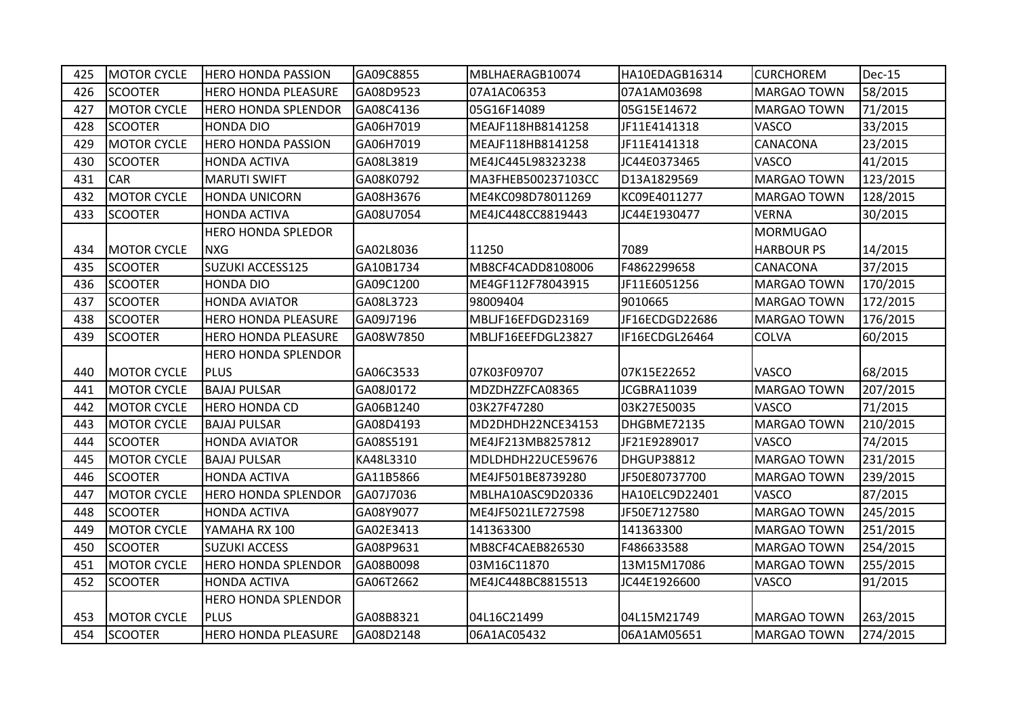| 425 | <b>MOTOR CYCLE</b> | <b>HERO HONDA PASSION</b>  | GA09C8855 | MBLHAERAGB10074    | HA10EDAGB16314 | <b>CURCHOREM</b>   | Dec-15   |
|-----|--------------------|----------------------------|-----------|--------------------|----------------|--------------------|----------|
| 426 | <b>SCOOTER</b>     | <b>HERO HONDA PLEASURE</b> | GA08D9523 | 07A1AC06353        | 07A1AM03698    | <b>MARGAO TOWN</b> | 58/2015  |
| 427 | <b>MOTOR CYCLE</b> | <b>HERO HONDA SPLENDOR</b> | GA08C4136 | 05G16F14089        | 05G15E14672    | <b>MARGAO TOWN</b> | 71/2015  |
| 428 | <b>SCOOTER</b>     | <b>HONDA DIO</b>           | GA06H7019 | MEAJF118HB8141258  | JF11E4141318   | <b>VASCO</b>       | 33/2015  |
| 429 | <b>MOTOR CYCLE</b> | <b>HERO HONDA PASSION</b>  | GA06H7019 | MEAJF118HB8141258  | JF11E4141318   | <b>CANACONA</b>    | 23/2015  |
| 430 | <b>SCOOTER</b>     | <b>HONDA ACTIVA</b>        | GA08L3819 | ME4JC445L98323238  | JC44E0373465   | <b>VASCO</b>       | 41/2015  |
| 431 | <b>CAR</b>         | <b>MARUTI SWIFT</b>        | GA08K0792 | MA3FHEB500237103CC | D13A1829569    | <b>MARGAO TOWN</b> | 123/2015 |
| 432 | <b>MOTOR CYCLE</b> | <b>HONDA UNICORN</b>       | GA08H3676 | ME4KC098D78011269  | KC09E4011277   | <b>MARGAO TOWN</b> | 128/2015 |
| 433 | <b>SCOOTER</b>     | <b>HONDA ACTIVA</b>        | GA08U7054 | ME4JC448CC8819443  | JC44E1930477   | <b>VERNA</b>       | 30/2015  |
|     |                    | <b>HERO HONDA SPLEDOR</b>  |           |                    |                | <b>MORMUGAO</b>    |          |
| 434 | <b>MOTOR CYCLE</b> | <b>NXG</b>                 | GA02L8036 | 11250              | 7089           | <b>HARBOUR PS</b>  | 14/2015  |
| 435 | <b>SCOOTER</b>     | SUZUKI ACCESS125           | GA10B1734 | MB8CF4CADD8108006  | F4862299658    | <b>CANACONA</b>    | 37/2015  |
| 436 | <b>SCOOTER</b>     | <b>HONDA DIO</b>           | GA09C1200 | ME4GF112F78043915  | JF11E6051256   | <b>MARGAO TOWN</b> | 170/2015 |
| 437 | <b>SCOOTER</b>     | <b>HONDA AVIATOR</b>       | GA08L3723 | 98009404           | 9010665        | <b>MARGAO TOWN</b> | 172/2015 |
| 438 | <b>SCOOTER</b>     | <b>HERO HONDA PLEASURE</b> | GA09J7196 | MBLJF16EFDGD23169  | JF16ECDGD22686 | <b>MARGAO TOWN</b> | 176/2015 |
| 439 | <b>SCOOTER</b>     | <b>HERO HONDA PLEASURE</b> | GA08W7850 | MBLJF16EEFDGL23827 | IF16ECDGL26464 | <b>COLVA</b>       | 60/2015  |
|     |                    | <b>HERO HONDA SPLENDOR</b> |           |                    |                |                    |          |
| 440 | <b>MOTOR CYCLE</b> | <b>PLUS</b>                | GA06C3533 | 07K03F09707        | 07K15E22652    | <b>VASCO</b>       | 68/2015  |
| 441 | <b>MOTOR CYCLE</b> | <b>BAJAJ PULSAR</b>        | GA08J0172 | MDZDHZZFCA08365    | JCGBRA11039    | <b>MARGAO TOWN</b> | 207/2015 |
| 442 | <b>MOTOR CYCLE</b> | <b>HERO HONDA CD</b>       | GA06B1240 | 03K27F47280        | 03K27E50035    | <b>VASCO</b>       | 71/2015  |
| 443 | <b>MOTOR CYCLE</b> | <b>BAJAJ PULSAR</b>        | GA08D4193 | MD2DHDH22NCE34153  | DHGBME72135    | <b>MARGAO TOWN</b> | 210/2015 |
| 444 | <b>SCOOTER</b>     | <b>HONDA AVIATOR</b>       | GA08S5191 | ME4JF213MB8257812  | JF21E9289017   | <b>VASCO</b>       | 74/2015  |
| 445 | <b>MOTOR CYCLE</b> | <b>BAJAJ PULSAR</b>        | KA48L3310 | MDLDHDH22UCE59676  | DHGUP38812     | <b>MARGAO TOWN</b> | 231/2015 |
| 446 | <b>SCOOTER</b>     | <b>HONDA ACTIVA</b>        | GA11B5866 | ME4JF501BE8739280  | JF50E80737700  | <b>MARGAO TOWN</b> | 239/2015 |
| 447 | <b>MOTOR CYCLE</b> | <b>HERO HONDA SPLENDOR</b> | GA07J7036 | MBLHA10ASC9D20336  | HA10ELC9D22401 | VASCO              | 87/2015  |
| 448 | <b>SCOOTER</b>     | <b>HONDA ACTIVA</b>        | GA08Y9077 | ME4JF5021LE727598  | JF50E7127580   | MARGAO TOWN        | 245/2015 |
| 449 | <b>MOTOR CYCLE</b> | YAMAHA RX 100              | GA02E3413 | 141363300          | 141363300      | <b>MARGAO TOWN</b> | 251/2015 |
| 450 | <b>SCOOTER</b>     | <b>SUZUKI ACCESS</b>       | GA08P9631 | MB8CF4CAEB826530   | F486633588     | <b>MARGAO TOWN</b> | 254/2015 |
| 451 | <b>MOTOR CYCLE</b> | <b>HERO HONDA SPLENDOR</b> | GA08B0098 | 03M16C11870        | 13M15M17086    | <b>MARGAO TOWN</b> | 255/2015 |
| 452 | <b>SCOOTER</b>     | <b>HONDA ACTIVA</b>        | GA06T2662 | ME4JC448BC8815513  | JC44E1926600   | <b>VASCO</b>       | 91/2015  |
|     |                    | <b>HERO HONDA SPLENDOR</b> |           |                    |                |                    |          |
| 453 | <b>MOTOR CYCLE</b> | PLUS                       | GA08B8321 | 04L16C21499        | 04L15M21749    | <b>MARGAO TOWN</b> | 263/2015 |
|     |                    |                            |           |                    |                |                    |          |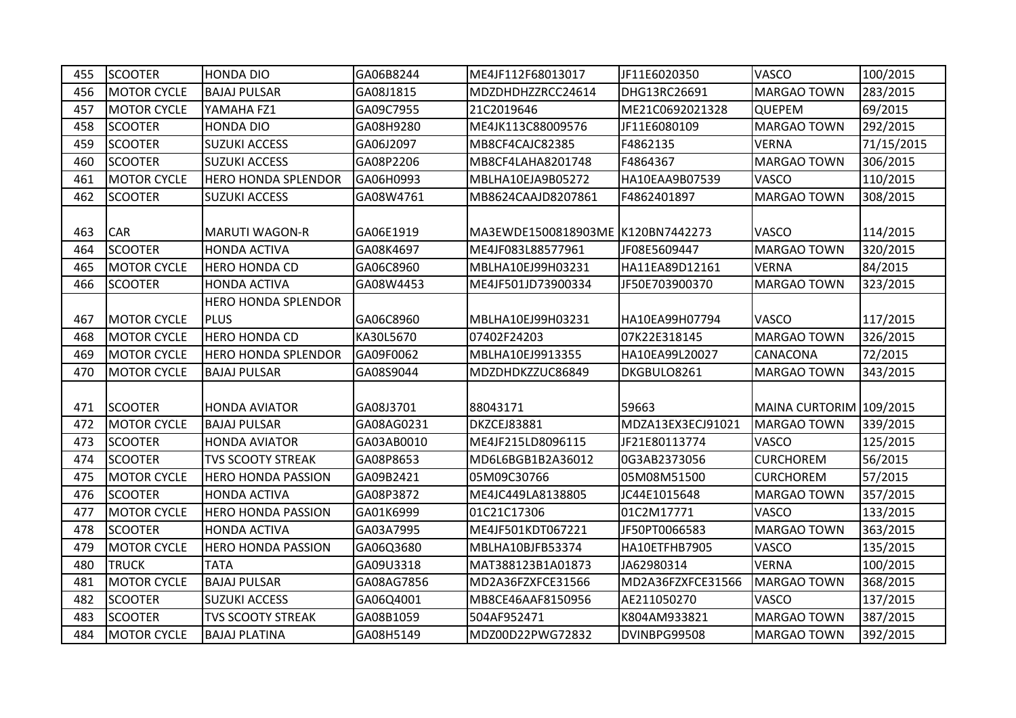| 455 | <b>SCOOTER</b>     | <b>HONDA DIO</b>                          | GA06B8244  | ME4JF112F68013017                  | JF11E6020350      | VASCO                   | 100/2015   |
|-----|--------------------|-------------------------------------------|------------|------------------------------------|-------------------|-------------------------|------------|
| 456 | <b>MOTOR CYCLE</b> | <b>BAJAJ PULSAR</b>                       | GA08J1815  | MDZDHDHZZRCC24614                  | DHG13RC26691      | <b>MARGAO TOWN</b>      | 283/2015   |
| 457 | <b>MOTOR CYCLE</b> | YAMAHA FZ1                                | GA09C7955  | 21C2019646                         | ME21C0692021328   | <b>QUEPEM</b>           | 69/2015    |
| 458 | <b>SCOOTER</b>     | <b>HONDA DIO</b>                          | GA08H9280  | ME4JK113C88009576                  | JF11E6080109      | <b>MARGAO TOWN</b>      | 292/2015   |
| 459 | <b>SCOOTER</b>     | <b>SUZUKI ACCESS</b>                      | GA06J2097  | MB8CF4CAJC82385                    | F4862135          | <b>VERNA</b>            | 71/15/2015 |
| 460 | <b>SCOOTER</b>     | <b>SUZUKI ACCESS</b>                      | GA08P2206  | MB8CF4LAHA8201748                  | F4864367          | <b>MARGAO TOWN</b>      | 306/2015   |
| 461 | <b>MOTOR CYCLE</b> | <b>HERO HONDA SPLENDOR</b>                | GA06H0993  | MBLHA10EJA9B05272                  | HA10EAA9B07539    | <b>VASCO</b>            | 110/2015   |
| 462 | <b>SCOOTER</b>     | <b>SUZUKI ACCESS</b>                      | GA08W4761  | MB8624CAAJD8207861                 | F4862401897       | <b>MARGAO TOWN</b>      | 308/2015   |
| 463 | <b>CAR</b>         | <b>MARUTI WAGON-R</b>                     | GA06E1919  | MA3EWDE1500818903ME IK120BN7442273 |                   | <b>VASCO</b>            | 114/2015   |
| 464 | <b>SCOOTER</b>     | <b>HONDA ACTIVA</b>                       | GA08K4697  | ME4JF083L88577961                  | JF08E5609447      | <b>MARGAO TOWN</b>      | 320/2015   |
| 465 | <b>MOTOR CYCLE</b> | <b>HERO HONDA CD</b>                      | GA06C8960  | MBLHA10EJ99H03231                  | HA11EA89D12161    | <b>VERNA</b>            | 84/2015    |
| 466 | <b>SCOOTER</b>     | <b>HONDA ACTIVA</b>                       | GA08W4453  | ME4JF501JD73900334                 | JF50E703900370    | MARGAO TOWN             | 323/2015   |
| 467 | <b>MOTOR CYCLE</b> | <b>HERO HONDA SPLENDOR</b><br><b>PLUS</b> | GA06C8960  | MBLHA10EJ99H03231                  | HA10EA99H07794    | <b>VASCO</b>            | 117/2015   |
| 468 | <b>MOTOR CYCLE</b> | <b>HERO HONDA CD</b>                      | KA30L5670  | 07402F24203                        | 07K22E318145      | <b>MARGAO TOWN</b>      | 326/2015   |
| 469 | <b>MOTOR CYCLE</b> | <b>HERO HONDA SPLENDOR</b>                | GA09F0062  | MBLHA10EJ9913355                   | HA10EA99L20027    | <b>CANACONA</b>         | 72/2015    |
| 470 | <b>MOTOR CYCLE</b> | <b>BAJAJ PULSAR</b>                       | GA08S9044  | MDZDHDKZZUC86849                   | DKGBULO8261       | <b>MARGAO TOWN</b>      | 343/2015   |
| 471 | <b>SCOOTER</b>     | <b>HONDA AVIATOR</b>                      | GA08J3701  | 88043171                           | 59663             | MAINA CURTORIM 109/2015 |            |
| 472 | <b>MOTOR CYCLE</b> | <b>BAJAJ PULSAR</b>                       | GA08AG0231 | DKZCEJ83881                        | MDZA13EX3ECJ91021 | MARGAO TOWN             | 339/2015   |
| 473 | <b>SCOOTER</b>     | <b>HONDA AVIATOR</b>                      | GA03AB0010 | ME4JF215LD8096115                  | JF21E80113774     | <b>VASCO</b>            | 125/2015   |
| 474 | <b>SCOOTER</b>     | <b>TVS SCOOTY STREAK</b>                  | GA08P8653  | MD6L6BGB1B2A36012                  | 0G3AB2373056      | <b>CURCHOREM</b>        | 56/2015    |
| 475 | <b>MOTOR CYCLE</b> | <b>HERO HONDA PASSION</b>                 | GA09B2421  | 05M09C30766                        | 05M08M51500       | <b>CURCHOREM</b>        | 57/2015    |
| 476 | <b>SCOOTER</b>     | <b>HONDA ACTIVA</b>                       | GA08P3872  | ME4JC449LA8138805                  | JC44E1015648      | <b>MARGAO TOWN</b>      | 357/2015   |
| 477 | <b>MOTOR CYCLE</b> | <b>HERO HONDA PASSION</b>                 | GA01K6999  | 01C21C17306                        | 01C2M17771        | <b>VASCO</b>            | 133/2015   |
| 478 | <b>SCOOTER</b>     | <b>HONDA ACTIVA</b>                       | GA03A7995  | ME4JF501KDT067221                  | JF50PT0066583     | <b>MARGAO TOWN</b>      | 363/2015   |
| 479 | <b>MOTOR CYCLE</b> | <b>HERO HONDA PASSION</b>                 | GA06Q3680  | MBLHA10BJFB53374                   | HA10ETFHB7905     | <b>VASCO</b>            | 135/2015   |
| 480 | <b>TRUCK</b>       | <b>TATA</b>                               | GA09U3318  | MAT388123B1A01873                  | JA62980314        | <b>VERNA</b>            | 100/2015   |
| 481 | <b>MOTOR CYCLE</b> | <b>BAJAJ PULSAR</b>                       | GA08AG7856 | MD2A36FZXFCE31566                  | MD2A36FZXFCE31566 | MARGAO TOWN             | 368/2015   |
| 482 | <b>SCOOTER</b>     | <b>SUZUKI ACCESS</b>                      | GA06Q4001  | MB8CE46AAF8150956                  | AE211050270       | <b>VASCO</b>            | 137/2015   |
| 483 | <b>SCOOTER</b>     | <b>TVS SCOOTY STREAK</b>                  | GA08B1059  | 504AF952471                        | K804AM933821      | <b>MARGAO TOWN</b>      | 387/2015   |
| 484 | <b>MOTOR CYCLE</b> | <b>BAJAJ PLATINA</b>                      | GA08H5149  | MDZ00D22PWG72832                   | DVINBPG99508      | <b>MARGAO TOWN</b>      | 392/2015   |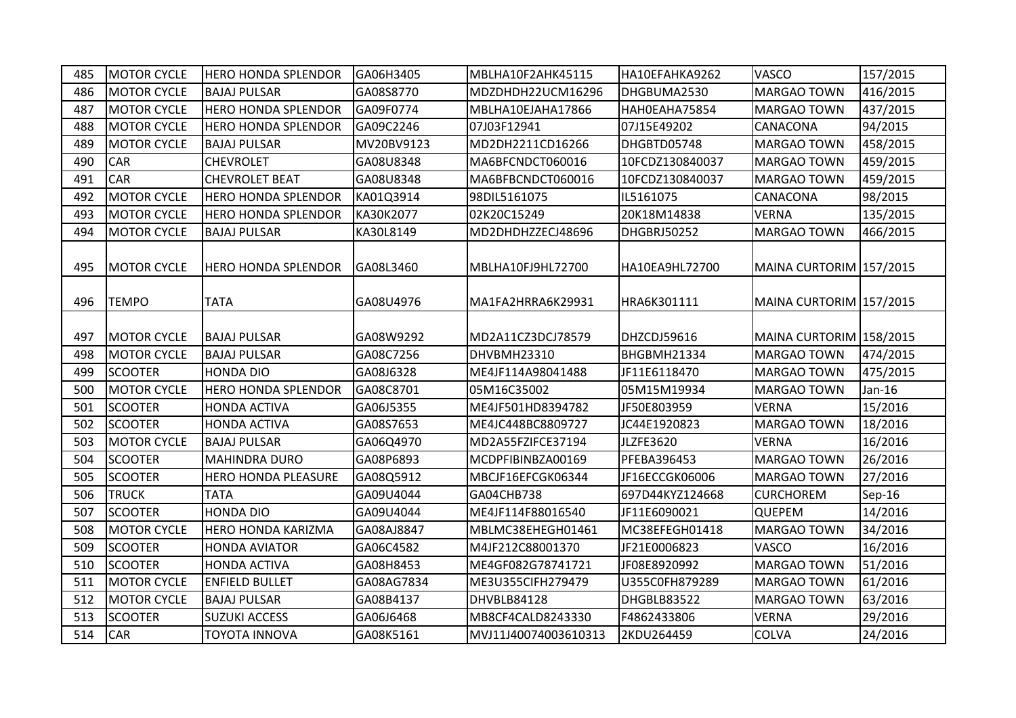| 485 | <b>MOTOR CYCLE</b> | <b>HERO HONDA SPLENDOR</b> | GA06H3405  | MBLHA10F2AHK45115    | HA10EFAHKA9262   | <b>VASCO</b>            | 157/2015 |
|-----|--------------------|----------------------------|------------|----------------------|------------------|-------------------------|----------|
| 486 | <b>MOTOR CYCLE</b> | <b>BAJAJ PULSAR</b>        | GA08S8770  | MDZDHDH22UCM16296    | DHGBUMA2530      | <b>MARGAO TOWN</b>      | 416/2015 |
| 487 | <b>MOTOR CYCLE</b> | <b>HERO HONDA SPLENDOR</b> | GA09F0774  | MBLHA10EJAHA17866    | HAHOEAHA75854    | <b>MARGAO TOWN</b>      | 437/2015 |
| 488 | <b>MOTOR CYCLE</b> | <b>HERO HONDA SPLENDOR</b> | GA09C2246  | 07J03F12941          | 07J15E49202      | <b>CANACONA</b>         | 94/2015  |
| 489 | <b>MOTOR CYCLE</b> | <b>BAJAJ PULSAR</b>        | MV20BV9123 | MD2DH2211CD16266     | DHGBTD05748      | <b>MARGAO TOWN</b>      | 458/2015 |
| 490 | <b>CAR</b>         | <b>CHEVROLET</b>           | GA08U8348  | MA6BFCNDCT060016     | 10FCDZ130840037  | <b>MARGAO TOWN</b>      | 459/2015 |
| 491 | CAR                | <b>CHEVROLET BEAT</b>      | GA08U8348  | MA6BFBCNDCT060016    | 10FCDZ130840037  | <b>MARGAO TOWN</b>      | 459/2015 |
| 492 | <b>MOTOR CYCLE</b> | <b>HERO HONDA SPLENDOR</b> | KA01Q3914  | 98DIL5161075         | IL5161075        | <b>CANACONA</b>         | 98/2015  |
| 493 | <b>MOTOR CYCLE</b> | <b>HERO HONDA SPLENDOR</b> | KA30K2077  | 02K20C15249          | 20K18M14838      | <b>VERNA</b>            | 135/2015 |
| 494 | <b>MOTOR CYCLE</b> | <b>BAJAJ PULSAR</b>        | KA30L8149  | MD2DHDHZZECJ48696    | DHGBRJ50252      | <b>MARGAO TOWN</b>      | 466/2015 |
| 495 | <b>MOTOR CYCLE</b> | <b>HERO HONDA SPLENDOR</b> | GA08L3460  | MBLHA10FJ9HL72700    | HA10EA9HL72700   | MAINA CURTORIM 157/2015 |          |
| 496 | <b>TEMPO</b>       | <b>TATA</b>                | GA08U4976  | MA1FA2HRRA6K29931    | HRA6K301111      | MAINA CURTORIM 157/2015 |          |
| 497 | <b>MOTOR CYCLE</b> | <b>BAJAJ PULSAR</b>        | GA08W9292  | MD2A11CZ3DCJ78579    | DHZCDJ59616      | MAINA CURTORIM 158/2015 |          |
| 498 | <b>MOTOR CYCLE</b> | <b>BAJAJ PULSAR</b>        | GA08C7256  | DHVBMH23310          | BHGBMH21334      | MARGAO TOWN             | 474/2015 |
| 499 | <b>SCOOTER</b>     | <b>HONDA DIO</b>           | GA08J6328  | ME4JF114A98041488    | JF11E6118470     | <b>MARGAO TOWN</b>      | 475/2015 |
| 500 | <b>MOTOR CYCLE</b> | <b>HERO HONDA SPLENDOR</b> | GA08C8701  | 05M16C35002          | 05M15M19934      | <b>MARGAO TOWN</b>      | Jan-16   |
| 501 | <b>SCOOTER</b>     | <b>HONDA ACTIVA</b>        | GA06J5355  | ME4JF501HD8394782    | JF50E803959      | <b>VERNA</b>            | 15/2016  |
| 502 | <b>SCOOTER</b>     | <b>HONDA ACTIVA</b>        | GA08S7653  | ME4JC448BC8809727    | JC44E1920823     | <b>MARGAO TOWN</b>      | 18/2016  |
| 503 | <b>MOTOR CYCLE</b> | <b>BAJAJ PULSAR</b>        | GA06Q4970  | MD2A55FZIFCE37194    | <b>JLZFE3620</b> | <b>VERNA</b>            | 16/2016  |
| 504 | <b>SCOOTER</b>     | <b>MAHINDRA DURO</b>       | GA08P6893  | MCDPFIBINBZA00169    | PFEBA396453      | <b>MARGAO TOWN</b>      | 26/2016  |
| 505 | <b>SCOOTER</b>     | <b>HERO HONDA PLEASURE</b> | GA08Q5912  | MBCJF16EFCGK06344    | JF16ECCGK06006   | <b>MARGAO TOWN</b>      | 27/2016  |
| 506 | <b>TRUCK</b>       | <b>TATA</b>                | GA09U4044  | GA04CHB738           | 697D44KYZ124668  | <b>CURCHOREM</b>        | Sep-16   |
| 507 | <b>SCOOTER</b>     | <b>HONDA DIO</b>           | GA09U4044  | ME4JF114F88016540    | JF11E6090021     | <b>QUEPEM</b>           | 14/2016  |
| 508 | <b>MOTOR CYCLE</b> | <b>HERO HONDA KARIZMA</b>  | GA08AJ8847 | MBLMC38EHEGH01461    | MC38EFEGH01418   | <b>MARGAO TOWN</b>      | 34/2016  |
| 509 | <b>SCOOTER</b>     | HONDA AVIATOR              | GA06C4582  | M4JF212C88001370     | JF21E0006823     | <b>VASCO</b>            | 16/2016  |
| 510 | <b>SCOOTER</b>     | <b>HONDA ACTIVA</b>        | GA08H8453  | ME4GF082G78741721    | JF08E8920992     | <b>MARGAO TOWN</b>      | 51/2016  |
| 511 | <b>MOTOR CYCLE</b> | <b>ENFIELD BULLET</b>      | GA08AG7834 | ME3U355ClFH279479    | U355C0FH879289   | <b>MARGAO TOWN</b>      | 61/2016  |
| 512 | <b>MOTOR CYCLE</b> | <b>BAJAJ PULSAR</b>        | GA08B4137  | DHVBLB84128          | DHGBLB83522      | <b>MARGAO TOWN</b>      | 63/2016  |
| 513 | <b>SCOOTER</b>     | <b>SUZUKI ACCESS</b>       | GA06J6468  | MB8CF4CALD8243330    | F4862433806      | <b>VERNA</b>            | 29/2016  |
| 514 | CAR                | <b>TOYOTA INNOVA</b>       | GA08K5161  | MVJ11J40074003610313 | 2KDU264459       | <b>COLVA</b>            | 24/2016  |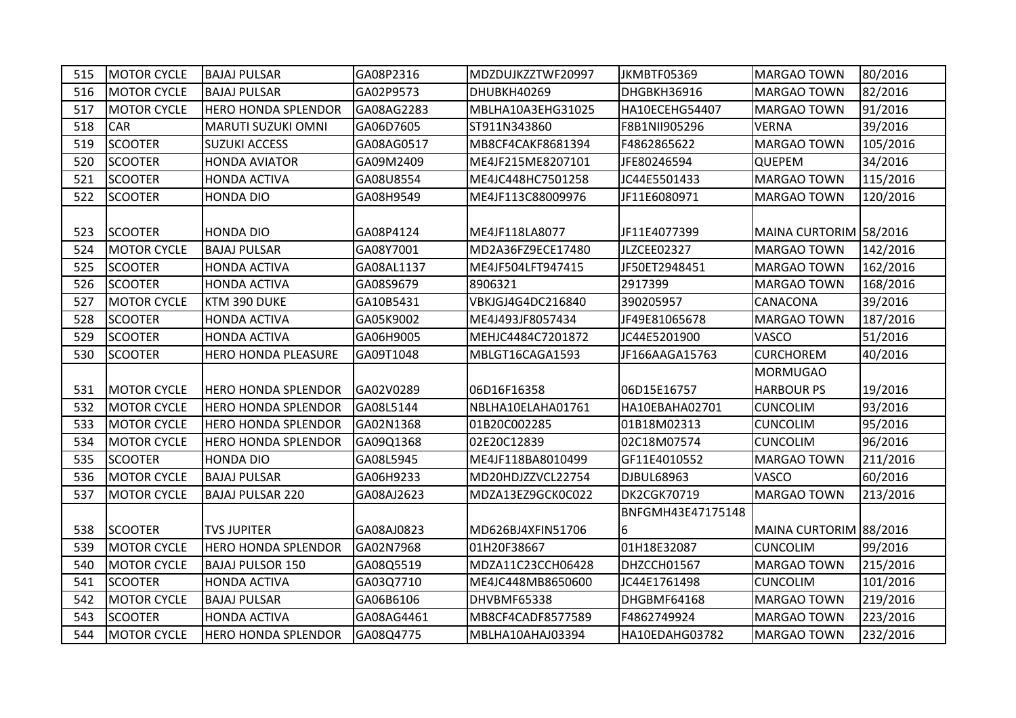| 515 | <b>MOTOR CYCLE</b> | <b>BAJAJ PULSAR</b>        | GA08P2316  | MDZDUJKZZTWF20997 | JKMBTF05369            | <b>MARGAO TOWN</b>            | 80/2016  |
|-----|--------------------|----------------------------|------------|-------------------|------------------------|-------------------------------|----------|
| 516 | <b>MOTOR CYCLE</b> | <b>BAJAJ PULSAR</b>        | GA02P9573  | DHUBKH40269       | DHGBKH36916            | <b>MARGAO TOWN</b>            | 82/2016  |
| 517 | <b>MOTOR CYCLE</b> | <b>HERO HONDA SPLENDOR</b> | GA08AG2283 | MBLHA10A3EHG31025 | HA10ECEHG54407         | <b>MARGAO TOWN</b>            | 91/2016  |
| 518 | <b>CAR</b>         | <b>MARUTI SUZUKI OMNI</b>  | GA06D7605  | ST911N343860      | F8B1NII905296          | <b>VERNA</b>                  | 39/2016  |
| 519 | <b>SCOOTER</b>     | <b>SUZUKI ACCESS</b>       | GA08AG0517 | MB8CF4CAKF8681394 | F4862865622            | <b>MARGAO TOWN</b>            | 105/2016 |
| 520 | <b>SCOOTER</b>     | <b>HONDA AVIATOR</b>       | GA09M2409  | ME4JF215ME8207101 | JFE80246594            | <b>QUEPEM</b>                 | 34/2016  |
| 521 | <b>SCOOTER</b>     | <b>HONDA ACTIVA</b>        | GA08U8554  | ME4JC448HC7501258 | JC44E5501433           | <b>MARGAO TOWN</b>            | 115/2016 |
| 522 | <b>SCOOTER</b>     | <b>HONDA DIO</b>           | GA08H9549  | ME4JF113C88009976 | JF11E6080971           | <b>MARGAO TOWN</b>            | 120/2016 |
| 523 | <b>SCOOTER</b>     | <b>HONDA DIO</b>           | GA08P4124  | ME4JF118LA8077    | JF11E4077399           | MAINA CURTORIM 58/2016        |          |
| 524 | <b>MOTOR CYCLE</b> | <b>BAJAJ PULSAR</b>        | GA08Y7001  | MD2A36FZ9ECE17480 | JLZCEE02327            | <b>MARGAO TOWN</b>            | 142/2016 |
| 525 | <b>SCOOTER</b>     | <b>HONDA ACTIVA</b>        | GA08AL1137 | ME4JF504LFT947415 | JF50ET2948451          | <b>MARGAO TOWN</b>            | 162/2016 |
| 526 | <b>SCOOTER</b>     | <b>HONDA ACTIVA</b>        | GA08S9679  | 8906321           | 2917399                | <b>MARGAO TOWN</b>            | 168/2016 |
| 527 | <b>MOTOR CYCLE</b> | KTM 390 DUKE               | GA10B5431  | VBKJGJ4G4DC216840 | 390205957              | CANACONA                      | 39/2016  |
| 528 | <b>SCOOTER</b>     | <b>HONDA ACTIVA</b>        | GA05K9002  | ME4J493JF8057434  | JF49E81065678          | <b>MARGAO TOWN</b>            | 187/2016 |
| 529 | <b>SCOOTER</b>     | <b>HONDA ACTIVA</b>        | GA06H9005  | MEHJC4484C7201872 | JC44E5201900           | <b>VASCO</b>                  | 51/2016  |
| 530 | <b>SCOOTER</b>     | <b>HERO HONDA PLEASURE</b> | GA09T1048  | MBLGT16CAGA1593   | JF166AAGA15763         | <b>CURCHOREM</b>              | 40/2016  |
| 531 | <b>MOTOR CYCLE</b> | <b>HERO HONDA SPLENDOR</b> | GA02V0289  | 06D16F16358       | 06D15E16757            | MORMUGAO<br><b>HARBOUR PS</b> | 19/2016  |
| 532 | <b>MOTOR CYCLE</b> | <b>HERO HONDA SPLENDOR</b> | GA08L5144  | NBLHA10ELAHA01761 | HA10EBAHA02701         | <b>CUNCOLIM</b>               | 93/2016  |
| 533 | <b>MOTOR CYCLE</b> | <b>HERO HONDA SPLENDOR</b> | GA02N1368  | 01B20C002285      | 01B18M02313            | <b>CUNCOLIM</b>               | 95/2016  |
| 534 | <b>MOTOR CYCLE</b> | <b>HERO HONDA SPLENDOR</b> | GA09Q1368  | 02E20C12839       | 02C18M07574            | <b>CUNCOLIM</b>               | 96/2016  |
| 535 | <b>SCOOTER</b>     | <b>HONDA DIO</b>           | GA08L5945  | ME4JF118BA8010499 | GF11E4010552           | <b>MARGAO TOWN</b>            | 211/2016 |
| 536 | <b>MOTOR CYCLE</b> | <b>BAJAJ PULSAR</b>        | GA06H9233  | MD20HDJZZVCL22754 | <b>DJBUL68963</b>      | <b>VASCO</b>                  | 60/2016  |
| 537 | <b>MOTOR CYCLE</b> | <b>BAJAJ PULSAR 220</b>    | GA08AJ2623 | MDZA13EZ9GCK0C022 | <b>DK2CGK70719</b>     | <b>MARGAO TOWN</b>            | 213/2016 |
| 538 | <b>SCOOTER</b>     | <b>TVS JUPITER</b>         | GA08AJ0823 | MD626BJ4XFIN51706 | BNFGMH43E47175148<br>6 | MAINA CURTORIM 88/2016        |          |
| 539 | <b>MOTOR CYCLE</b> | <b>HERO HONDA SPLENDOR</b> | GA02N7968  | 01H20F38667       | 01H18E32087            | <b>CUNCOLIM</b>               | 99/2016  |
| 540 | <b>MOTOR CYCLE</b> | <b>BAJAJ PULSOR 150</b>    | GA08Q5519  | MDZA11C23CCH06428 | DHZCCH01567            | <b>MARGAO TOWN</b>            | 215/2016 |
| 541 | <b>SCOOTER</b>     | <b>HONDA ACTIVA</b>        | GA03Q7710  | ME4JC448MB8650600 | JC44E1761498           | <b>CUNCOLIM</b>               | 101/2016 |
| 542 | <b>MOTOR CYCLE</b> | <b>BAJAJ PULSAR</b>        | GA06B6106  | DHVBMF65338       | DHGBMF64168            | <b>MARGAO TOWN</b>            | 219/2016 |
| 543 | <b>SCOOTER</b>     | <b>HONDA ACTIVA</b>        | GA08AG4461 | MB8CF4CADF8577589 | F4862749924            | MARGAO TOWN                   | 223/2016 |
| 544 | <b>MOTOR CYCLE</b> | <b>HERO HONDA SPLENDOR</b> | GA08Q4775  | MBLHA10AHAJ03394  | HA10EDAHG03782         | <b>MARGAO TOWN</b>            | 232/2016 |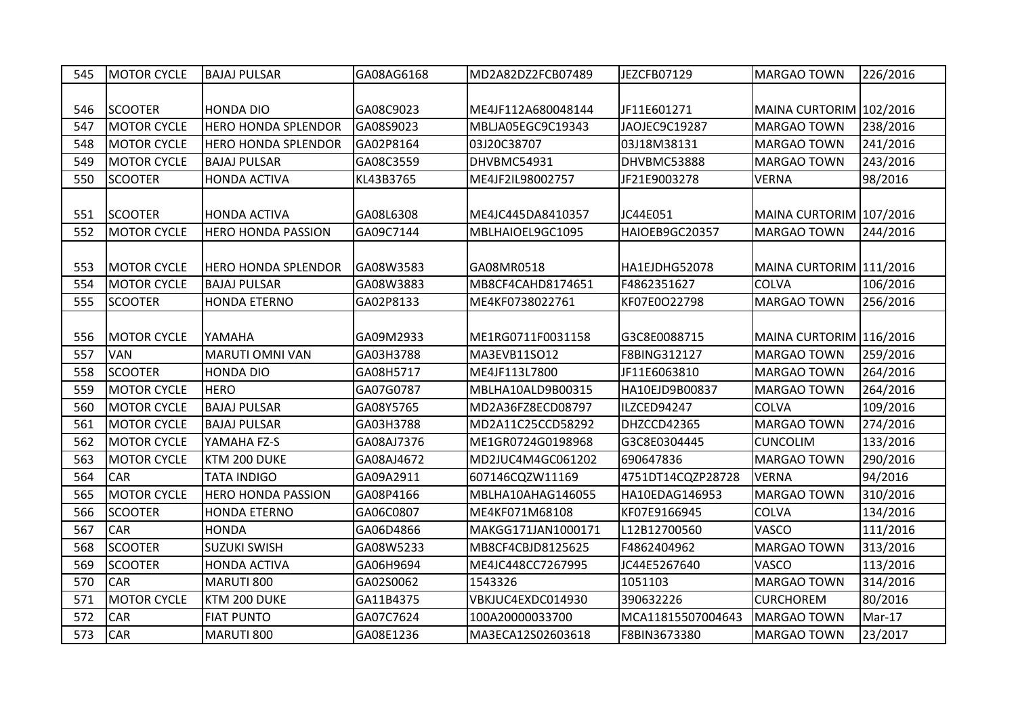| 545 | <b>MOTOR CYCLE</b> | <b>BAJAJ PULSAR</b>        | GA08AG6168 | MD2A82DZ2FCB07489  | JEZCFB07129       | <b>MARGAO TOWN</b>      | 226/2016 |
|-----|--------------------|----------------------------|------------|--------------------|-------------------|-------------------------|----------|
|     |                    |                            |            |                    |                   |                         |          |
| 546 | <b>SCOOTER</b>     | <b>HONDA DIO</b>           | GA08C9023  | ME4JF112A680048144 | JF11E601271       | MAINA CURTORIM 102/2016 |          |
| 547 | <b>MOTOR CYCLE</b> | <b>HERO HONDA SPLENDOR</b> | GA08S9023  | MBLJA05EGC9C19343  | JAOJEC9C19287     | MARGAO TOWN             | 238/2016 |
| 548 | <b>MOTOR CYCLE</b> | <b>HERO HONDA SPLENDOR</b> | GA02P8164  | 03J20C38707        | 03J18M38131       | <b>MARGAO TOWN</b>      | 241/2016 |
| 549 | <b>MOTOR CYCLE</b> | <b>BAJAJ PULSAR</b>        | GA08C3559  | DHVBMC54931        | DHVBMC53888       | <b>MARGAO TOWN</b>      | 243/2016 |
| 550 | <b>SCOOTER</b>     | <b>HONDA ACTIVA</b>        | KL43B3765  | ME4JF2IL98002757   | JF21E9003278      | <b>VERNA</b>            | 98/2016  |
| 551 | <b>SCOOTER</b>     | <b>HONDA ACTIVA</b>        | GA08L6308  | ME4JC445DA8410357  | JC44E051          | MAINA CURTORIM 107/2016 |          |
| 552 | <b>MOTOR CYCLE</b> | <b>HERO HONDA PASSION</b>  | GA09C7144  | MBLHAIOEL9GC1095   | HAIOEB9GC20357    | <b>MARGAO TOWN</b>      | 244/2016 |
| 553 | <b>MOTOR CYCLE</b> | <b>HERO HONDA SPLENDOR</b> | GA08W3583  | GA08MR0518         | HA1EJDHG52078     | MAINA CURTORIM 111/2016 |          |
| 554 | <b>MOTOR CYCLE</b> | <b>BAJAJ PULSAR</b>        | GA08W3883  | MB8CF4CAHD8174651  | F4862351627       | <b>COLVA</b>            | 106/2016 |
| 555 | <b>SCOOTER</b>     | <b>HONDA ETERNO</b>        | GA02P8133  | ME4KF0738022761    | KF07E0O22798      | <b>MARGAO TOWN</b>      | 256/2016 |
| 556 | <b>MOTOR CYCLE</b> | YAMAHA                     | GA09M2933  | ME1RG0711F0031158  | G3C8E0088715      | MAINA CURTORIM 116/2016 |          |
| 557 | <b>VAN</b>         | <b>MARUTI OMNI VAN</b>     | GA03H3788  | MA3EVB11SO12       | F8BING312127      | MARGAO TOWN             | 259/2016 |
| 558 | <b>SCOOTER</b>     | <b>HONDA DIO</b>           | GA08H5717  | ME4JF113L7800      | JF11E6063810      | <b>MARGAO TOWN</b>      | 264/2016 |
| 559 | <b>MOTOR CYCLE</b> | <b>HERO</b>                | GA07G0787  | MBLHA10ALD9B00315  | HA10EJD9B00837    | <b>MARGAO TOWN</b>      | 264/2016 |
| 560 | <b>MOTOR CYCLE</b> | <b>BAJAJ PULSAR</b>        | GA08Y5765  | MD2A36FZ8ECD08797  | ILZCED94247       | <b>COLVA</b>            | 109/2016 |
| 561 | <b>MOTOR CYCLE</b> | <b>BAJAJ PULSAR</b>        | GA03H3788  | MD2A11C25CCD58292  | DHZCCD42365       | <b>MARGAO TOWN</b>      | 274/2016 |
| 562 | <b>MOTOR CYCLE</b> | YAMAHA FZ-S                | GA08AJ7376 | ME1GR0724G0198968  | G3C8E0304445      | <b>CUNCOLIM</b>         | 133/2016 |
| 563 | <b>MOTOR CYCLE</b> | KTM 200 DUKE               | GA08AJ4672 | MD2JUC4M4GC061202  | 690647836         | <b>MARGAO TOWN</b>      | 290/2016 |
| 564 | <b>CAR</b>         | <b>TATA INDIGO</b>         | GA09A2911  | 607146CQZW11169    | 4751DT14CQZP28728 | <b>VERNA</b>            | 94/2016  |
| 565 | <b>MOTOR CYCLE</b> | <b>HERO HONDA PASSION</b>  | GA08P4166  | MBLHA10AHAG146055  | HA10EDAG146953    | <b>MARGAO TOWN</b>      | 310/2016 |
| 566 | <b>SCOOTER</b>     | <b>HONDA ETERNO</b>        | GA06C0807  | ME4KF071M68108     | KF07E9166945      | <b>COLVA</b>            | 134/2016 |
| 567 | <b>CAR</b>         | <b>HONDA</b>               | GA06D4866  | MAKGG171JAN1000171 | L12B12700560      | VASCO                   | 111/2016 |
| 568 | <b>SCOOTER</b>     | <b>SUZUKI SWISH</b>        | GA08W5233  | MB8CF4CBJD8125625  | F4862404962       | <b>MARGAO TOWN</b>      | 313/2016 |
| 569 | <b>SCOOTER</b>     | <b>HONDA ACTIVA</b>        | GA06H9694  | ME4JC448CC7267995  | JC44E5267640      | VASCO                   | 113/2016 |
| 570 | <b>CAR</b>         | MARUTI 800                 | GA02S0062  | 1543326            | 1051103           | <b>MARGAO TOWN</b>      | 314/2016 |
| 571 | <b>MOTOR CYCLE</b> | KTM 200 DUKE               | GA11B4375  | VBKJUC4EXDC014930  | 390632226         | <b>CURCHOREM</b>        | 80/2016  |
| 572 | CAR                | <b>FIAT PUNTO</b>          | GA07C7624  | 100A20000033700    | MCA11815507004643 | MARGAO TOWN             | Mar-17   |
| 573 | CAR                | MARUTI 800                 | GA08E1236  | MA3ECA12S02603618  | F8BIN3673380      | <b>MARGAO TOWN</b>      | 23/2017  |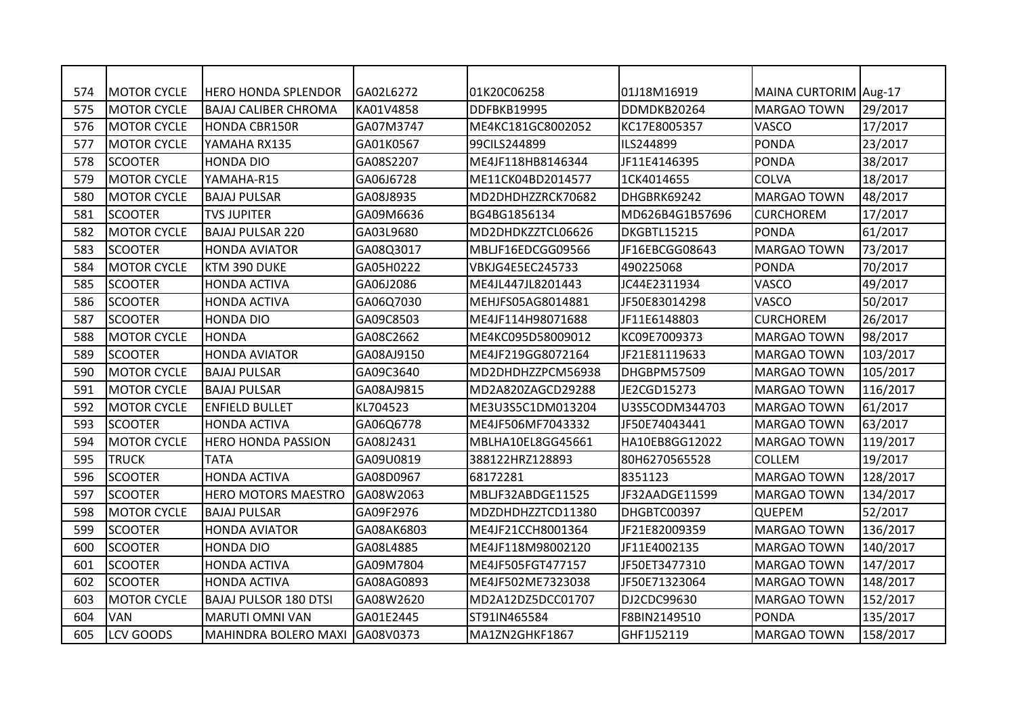| 574 | IMOTOR CYCLE       | IHERO HONDA SPLENDOR         | GA02L6272  | 01K20C06258       | l01J18M16919    | MAINA CURTORIM Aug-17 |          |
|-----|--------------------|------------------------------|------------|-------------------|-----------------|-----------------------|----------|
| 575 | <b>MOTOR CYCLE</b> | <b>BAJAJ CALIBER CHROMA</b>  | KA01V4858  | DDFBKB19995       | DDMDKB20264     | MARGAO TOWN           | 29/2017  |
| 576 | <b>MOTOR CYCLE</b> | <b>HONDA CBR150R</b>         | GA07M3747  | ME4KC181GC8002052 | KC17E8005357    | <b>VASCO</b>          | 17/2017  |
| 577 | <b>MOTOR CYCLE</b> | YAMAHA RX135                 | GA01K0567  | 99CILS244899      | ILS244899       | <b>PONDA</b>          | 23/2017  |
| 578 | <b>SCOOTER</b>     | HONDA DIO                    | GA08S2207  | ME4JF118HB8146344 | JF11E4146395    | <b>PONDA</b>          | 38/2017  |
| 579 | <b>MOTOR CYCLE</b> | YAMAHA-R15                   | GA06J6728  | ME11CK04BD2014577 | 1CK4014655      | <b>COLVA</b>          | 18/2017  |
| 580 | <b>MOTOR CYCLE</b> | <b>BAJAJ PULSAR</b>          | GA08J8935  | MD2DHDHZZRCK70682 | DHGBRK69242     | MARGAO TOWN           | 48/2017  |
| 581 | <b>SCOOTER</b>     | <b>TVS JUPITER</b>           | GA09M6636  | BG4BG1856134      | MD626B4G1B57696 | <b>CURCHOREM</b>      | 17/2017  |
| 582 | <b>MOTOR CYCLE</b> | <b>BAJAJ PULSAR 220</b>      | GA03L9680  | MD2DHDKZZTCL06626 | DKGBTL15215     | <b>PONDA</b>          | 61/2017  |
| 583 | <b>SCOOTER</b>     | <b>HONDA AVIATOR</b>         | GA08Q3017  | MBLJF16EDCGG09566 | JF16EBCGG08643  | <b>MARGAO TOWN</b>    | 73/2017  |
| 584 | <b>MOTOR CYCLE</b> | KTM 390 DUKE                 | GA05H0222  | VBKJG4E5EC245733  | 490225068       | PONDA                 | 70/2017  |
| 585 | <b>SCOOTER</b>     | <b>HONDA ACTIVA</b>          | GA06J2086  | ME4JL447JL8201443 | JC44E2311934    | <b>VASCO</b>          | 49/2017  |
| 586 | <b>SCOOTER</b>     | <b>HONDA ACTIVA</b>          | GA06Q7030  | MEHJFS05AG8014881 | JF50E83014298   | <b>VASCO</b>          | 50/2017  |
| 587 | <b>SCOOTER</b>     | <b>HONDA DIO</b>             | GA09C8503  | ME4JF114H98071688 | JF11E6148803    | <b>CURCHOREM</b>      | 26/2017  |
| 588 | <b>MOTOR CYCLE</b> | <b>HONDA</b>                 | GA08C2662  | ME4KC095D58009012 | KC09E7009373    | MARGAO TOWN           | 98/2017  |
| 589 | <b>SCOOTER</b>     | <b>HONDA AVIATOR</b>         | GA08AJ9150 | ME4JF219GG8072164 | JF21E81119633   | MARGAO TOWN           | 103/2017 |
| 590 | <b>MOTOR CYCLE</b> | <b>BAJAJ PULSAR</b>          | GA09C3640  | MD2DHDHZZPCM56938 | DHGBPM57509     | <b>MARGAO TOWN</b>    | 105/2017 |
| 591 | <b>MOTOR CYCLE</b> | <b>BAJAJ PULSAR</b>          | GA08AJ9815 | MD2A820ZAGCD29288 | JE2CGD15273     | <b>MARGAO TOWN</b>    | 116/2017 |
| 592 | <b>MOTOR CYCLE</b> | <b>ENFIELD BULLET</b>        | KL704523   | ME3U3S5C1DM013204 | U3S5CODM344703  | <b>MARGAO TOWN</b>    | 61/2017  |
| 593 | <b>SCOOTER</b>     | <b>HONDA ACTIVA</b>          | GA06Q6778  | ME4JF506MF7043332 | JF50E74043441   | <b>I</b> MARGAO TOWN  | 63/2017  |
| 594 | <b>MOTOR CYCLE</b> | <b>HERO HONDA PASSION</b>    | GA08J2431  | MBLHA10EL8GG45661 | HA10EB8GG12022  | <b>MARGAO TOWN</b>    | 119/2017 |
| 595 | <b>TRUCK</b>       | <b>TATA</b>                  | GA09U0819  | 388122HRZ128893   | 80H6270565528   | <b>COLLEM</b>         | 19/2017  |
| 596 | <b>SCOOTER</b>     | <b>HONDA ACTIVA</b>          | GA08D0967  | 68172281          | 8351123         | <b>MARGAO TOWN</b>    | 128/2017 |
| 597 | <b>SCOOTER</b>     | <b>HERO MOTORS MAESTRO</b>   | GA08W2063  | MBLJF32ABDGE11525 | JF32AADGE11599  | <b>MARGAO TOWN</b>    | 134/2017 |
| 598 | <b>MOTOR CYCLE</b> | <b>BAJAJ PULSAR</b>          | GA09F2976  | MDZDHDHZZTCD11380 | DHGBTC00397     | <b>QUEPEM</b>         | 52/2017  |
| 599 | <b>SCOOTER</b>     | <b>HONDA AVIATOR</b>         | GA08AK6803 | ME4JF21CCH8001364 | JF21E82009359   | <b>MARGAO TOWN</b>    | 136/2017 |
| 600 | <b>SCOOTER</b>     | <b>HONDA DIO</b>             | GA08L4885  | ME4JF118M98002120 | JF11E4002135    | <b>MARGAO TOWN</b>    | 140/2017 |
| 601 | <b>SCOOTER</b>     | <b>HONDA ACTIVA</b>          | GA09M7804  | ME4JF505FGT477157 | JF50ET3477310   | <b>MARGAO TOWN</b>    | 147/2017 |
| 602 | <b>SCOOTER</b>     | <b>HONDA ACTIVA</b>          | GA08AG0893 | ME4JF502ME7323038 | JF50E71323064   | <b>MARGAO TOWN</b>    | 148/2017 |
| 603 | <b>MOTOR CYCLE</b> | <b>BAJAJ PULSOR 180 DTSI</b> | GA08W2620  | MD2A12DZ5DCC01707 | DJ2CDC99630     | <b>MARGAO TOWN</b>    | 152/2017 |
| 604 | <b>VAN</b>         | <b>MARUTI OMNI VAN</b>       | GA01E2445  | ST91IN465584      | F8BIN2149510    | <b>PONDA</b>          | 135/2017 |
| 605 | LCV GOODS          | <b>MAHINDRA BOLERO MAXI</b>  | GA08V0373  | MA1ZN2GHKF1867    | GHF1J52119      | <b>MARGAO TOWN</b>    | 158/2017 |